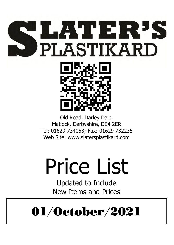## ULATER'S PLASTIKARD



Old Road, Darley Dale, Matlock, Derbyshire, DE4 2ER Tel: 01629 734053; Fax: 01629 732235 Web Site: www.slatersplastikard.com

# Price List

Updated to Include New Items and Prices

## 01/October/2021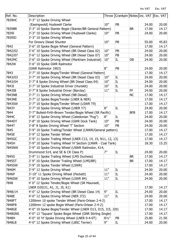| Ref. No. | Description                                                   | Throw          |    |            |       | Crankpin Notes Inc. VAT Exc. VAT |
|----------|---------------------------------------------------------------|----------------|----|------------|-------|----------------------------------|
| 7839HC   | 3'-3" 12 Spoke Driving Wheel                                  |                |    |            |       |                                  |
|          | (Easingwold) Hudswell Clarke                                  | 10''           | PB |            | 24.00 | 20.00                            |
| 7839BR   | 3'-3" 10 Spoke Stanier Bogie (Stanier/BR General Pattern)     |                |    | <b>BR</b>  | 17.00 | 14.17                            |
| 7839I    | 3'-3" 10 Spoke Driving Wheel (Hudswell Clarke)                | 10''           | PB |            | 24.00 | 20.00                            |
| 7839ID   | 3'-3" 10 Spoke Driving Wheels                                 |                |    |            |       |                                  |
|          | For Drewry Diesel Shunter                                     | 10''           | PB |            | 55.00 | 45.83                            |
| 7842     | 3'-6" 10 Spoke Bogie Wheel (General Pattern)                  |                |    |            | 17.00 | 14.17                            |
| 7842/02  | 3'-6" 10 Spoke Driving Wheel (BR Diesel Class 02)             | 10''           | PB |            | 24.00 | 20.00                            |
| 7842/07  | 3'-6" 12 Spoke Driving Wheel (BR Diesel Class 07)             | 10''           | PB |            | 24.00 | 20.00                            |
| 7842MC   | 3'-6" 10 Spoke Driving Wheel (Markham Industrial)             | 10''           | IL | DB         | 24.00 | 20.00                            |
| 7842W    | 3'-6" 10 Spoke GWR Railmotor                                  |                |    |            |       |                                  |
|          | (GWR Railmotor 1903)                                          | 8''            | PB |            | 24.00 | 20.00                            |
| 7843     | 3'-7" 10 Spoke Bogie/Tender Wheel (General Pattern)           |                |    |            | 17.00 | 14.17                            |
| 7843/03  | 3'-7" 10 Spoke Driving Wheel (BR Diesel Class 03)             | $10''$         | IL |            | 24.00 | 20.00                            |
| 7843/04  | 3'-7" 8 Spoke Driving Wheel (BR Diesel Class 04)              | 10''           | IL |            | 24.00 | 20.00                            |
| 7843I    | 3'-7" 10 Spoke Industrial Driver (Hunslet)                    | 10''           | IL |            | 24.00 | 20.00                            |
| 7843IB   | 3'-7" 8 Spoke Industrial Driver (Barclay)                     | 11''           | IL | FF         | 24.00 | 20.00                            |
| 7843NB   | 3'-7" 11 Spoke Driving Wheel (NB Diesel)                      |                |    | <b>NC</b>  | 17.00 | 14.17                            |
| 7843NE   | 3'-7" 12 Spoke Bogie/Tender (LNER & NER)                      |                |    |            | 17.00 | 14.17                            |
| 7843SW   | 3'-7" 10 Spoke Bogie/Tender Wheel (LSWR T9)                   |                |    |            | 17.00 | 14.17                            |
| 7843Y    | 3'-7" 10 Spoke Driving Wheel (LNER Y7)                        | 8''            | IL |            | 24.00 | 20.00                            |
| 7844     | 3'-7" Bulleid-Firth-Brown Tender/Bogie Wheel (SR Pacific)     |                |    | <b>BFB</b> | 17.00 | 14.17                            |
| 7844C    | 3'-8" 12 Spoke Driving Wheel (Caledonian "Pug")               | 8''            | IL |            | 24.00 | 20.00                            |
| 7844DT   | 3'-8" 10 Spoke Driving Wheel (GWR Dock Tank)                  | 10''           | PB |            | 24.00 | 20.00                            |
| 7844T    | 3'-8" 8 Spoke Driving Wheel 'T' Section                       | 10''           | PB |            | 24.00 | 20.00                            |
| 7845     | 3'-9" 10 Spoke Trailing/Tender Wheel (LNWR/General pattern)   |                |    |            | 17.00 | 14.17                            |
| 7845E    | 3'-9" 12 Spoke Tender Wheel                                   |                |    |            | 17.00 | 14.17                            |
| 7845GC   | 3'-9" 11 Spoke Trailing Wheel (LNER C13, 14, 15, N11, 12, 13) |                |    |            | 17.00 | 14.17                            |
| 7845H    | 3'-9" 10 Spoke Trailing Wheel 'H' Section (LNWR - Coal Tank)  |                |    |            | 18.30 | 15.25                            |
| 7845NW   | 3'-9" 10 Spoke Driving Wheel (LNWR Railmotor, K14,            |                |    |            |       |                                  |
|          | Drummond S14, and SE & CR Class P)                            | 7''            | IL |            | 24.00 | 20.00                            |
| 7845S    | 3'-9" 11 Spoke Trailing Wheel (LMS Duchess)                   |                |    | <b>BR</b>  | 17.00 | 14.17                            |
| 7845ST   | 3' 9" 10 Spoke Stanier Trailing Wheel (LMS/BR)                |                |    | <b>BR</b>  | 17.00 | 14.17                            |
| 7845SW   | 3'-9" 10 Spoke Tender Wheel (LSWR)                            |                |    |            | 17.00 | 14.17                            |
| 7846M    | 3'-9" 12 Spoke Driving Wheel                                  | 11''           | IL |            | 24.00 | 20.00                            |
| 7846P    | 3'-10" 11 Spoke Driving Wheel (Peckett)                       | 11''           | IL |            | 24.00 | 20.00                            |
| 7846SW   | 3'-9" 10 Spoke Driving Wheel (LSWR B4)                        | 11''           | IL |            | 24.00 | 20.00                            |
| 7848     | 4' 0" 12 Spoke Tender/Bogie Wheel (SR Maunsell,               |                |    |            |       |                                  |
|          | LNER D20/21, A1, J1, J5, K1)                                  |                |    |            | 17.00 | 14.17                            |
| 7848/14  | 4'-0" 12 Spoke Driving Wheel (BR Diesel Class 14)             | 9''            | IL |            | 24.00 | 20.00                            |
| 7848E    | 4'-0" 12 Spoke Driving Wheel (NER J72)                        | 11''           | IL |            | 24.00 | 20.00                            |
| 7848FT   | 1200mm 10 spoke Tender Wheel (Paris-Orlean 2-4-2)             |                |    |            | 17.00 | 14.17                            |
| 7848FB   | 1200mm 12 spoke Bogie Wheel (Paris-Orlean 2-4-2)              |                |    |            | 17.00 | 14.17                            |
| 7848GE   | 4'-0" 10 Spoke Bogie/Tender Wheel (LNER D13, D15, J15, J20)   |                |    |            | 17.00 | 14.17                            |
| 7848GNS  | 4'-0" 12 "Square' Spoke Bogie Wheel (GNR Stirling Single)     |                |    |            | 17.00 | 14.17                            |
| 7848H    | 4'-0" 10 'H' Spoke Driving Wheel (LNER 0-4-0T)                | $8\frac{1}{2}$ | PB |            | 25.80 | 21.50                            |
| 7848LB   | 4'-0" 12 Spoke Driving Wheel (LBSC Terrier)                   | 9"             | IL |            | 24.00 | 20.00                            |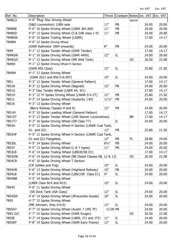| Ref. No. | Description                                                  | Throw               |    |           | Crankpin Notes Inc. VAT Exc. VAT |       |
|----------|--------------------------------------------------------------|---------------------|----|-----------|----------------------------------|-------|
| 7848LO   | 4'-0" 'Plug' Disc Driving Wheel                              |                     |    | Special   |                                  |       |
|          | (S&D Locomotion) 1/8th axle                                  | 11"                 | PB |           | 24.00                            | 20.00 |
| 7848NE   | 4'-0" 10 Spoke Driving Wheel (LNER J65-J69)                  | 11''                | PB |           | 24.00                            | 20.00 |
| 7848SD   | 4'-0" 13 Spoke Driving Wheel (S & DJR class 1-9)             | 11''                | PB |           | 24.00                            | 20.00 |
| 7848SW   | 4'-0" 10 Spoke Trailing Wheel (LSWR)                         |                     |    |           | 17.00                            | 14.17 |
| 7848W    | 4'-0" 12 Spoke Driving Wheel                                 |                     |    |           |                                  |       |
|          | (GWR Railmotor 1904 onwards)                                 | 8''                 | PB |           | 24.00                            | 20.00 |
| 7849     | 4'-1" 12 Spoke Tender Wheel (GWR Tender)                     |                     |    |           | 17.00                            | 14.17 |
| 7849GW   | 4'-1" 10 Spoke Driving Wheel (GWR 44XX)                      | 12''                | IL |           | 24.00                            | 20.00 |
| 78490/C  | 4'-1" 12 Spoke Driving Wheel (MR Well Tank)                  |                     |    | <b>OC</b> | 26.50                            | 22.08 |
| 7849H    | 4'-1" 12 Spoke Driving Wheel H Section                       |                     |    |           |                                  |       |
|          | (GWR 850 Class)                                              | 12''                | IL |           | 25.80                            | 21.50 |
| 7849W    | 4'-1" 12 Spoke Driving Wheel                                 |                     |    |           |                                  |       |
|          | (GWR 2021 and 850 0-6-0ST)                                   | 10''                | IL |           | 24.00                            | 20.00 |
| 7851     | 4'-3" 12 Spoke Tender Wheel (General Pattern)                |                     |    |           | 17.00                            | 14.17 |
| 7851B    | 4'-3" 12 Spoke Driving Wheel (Bagnall)                       | 13''                | PB |           | 24.00                            | 20.00 |
| 7851G    | 4'-3" Disc Tender Wheel (LNER A4, W1)                        |                     |    |           | 17.00                            | 14.17 |
| 7851H    | 4'-3" 12 'H' Spoke Driving Wheel (LNWR 0-4-2T)               | 12"                 | PB |           | 25.80                            | 21.50 |
| 7851I    | 4'-3" 14 Spoke Driving Wheel (Austerity J.94)                | $11\frac{1}{2}$     | PB |           | 24.00                            | 20.00 |
| 7851K    | 4'-3" 13 Spoke Driving Wheel                                 |                     |    |           |                                  |       |
|          | (Barry Railway Classes H and K)                              | 13''                | PB |           | 24.00                            | 20.00 |
| 7851M    | 4'-3" 10 Spoke Leading Wheel (General Pattern)               |                     |    |           | 17.00                            | 14.17 |
| 7851ST   | 4'-3" 12 Spoke Tender Wheel (LMS Stanier Locomotives)        |                     |    | <b>BR</b> | 17.00                            | 14.17 |
| 7851T7   | 4'-3" 16 Spoke Driving Wheel (DB Class T7)                   |                     | IL |           | 24.00                            | 20.00 |
| 7853H    | 4'-5" 12 Spoke Driving Wheel H Section (LNWR Coal Tank,      |                     |    |           |                                  |       |
|          | $G1$ and $G2)$                                               | 12''                | PB |           | 25.80                            | 21.50 |
| 7853HF   | 4'-5" 12 Spoke Driving Wheel H Section (LNWR Coal Tank,      |                     |    |           |                                  |       |
|          | G1 and G2) Flangeless                                        | 12''                | PB | FL        | 28.80                            | 24.00 |
| 7853SL   | 4'-5" 14 Spoke Driving Wheel                                 | $8\frac{1}{2}$ "    | PB |           | 24.00                            | 20.00 |
| 7853Y    | 4'-5" 13 Spoke Driving Wheel (L & Y types)                   | 11''                | PB |           | 24.00                            | 20.00 |
| 7853LB   | 4'-6" 14 Spoke Trailing Wheel (LBSCR/SR D1)                  |                     |    |           | 17.00                            | 14.17 |
| 7854/08  | 4'-6" 14 Spoke Driving Wheel (BR Diesel Classes 08, 12 & 13) |                     |    | <b>OC</b> | 26.50                            | 22.08 |
| 7854CR   | 4'-6" 10 Spoke Driving Wheel T Section                       |                     |    |           |                                  |       |
|          | (CR Jubilee and Pug)                                         | 10''                | IL |           | 24.00                            | 20.00 |
| 7854HR   | 4'-6" 13 Spoke Driving Wheel (Highland Railway)              | 10''                | PB |           | 24.00                            | 20.00 |
| 7854LB   | 4'-6" 14 Spoke Driving Wheel (LBSC/SR Class E1)              | 9"                  | IL |           | 24.00                            | 20.00 |
| 7854NB   | 4'-5" 14 Spoke Driving Wheel                                 |                     |    |           |                                  |       |
|          | (LNER Class N14 and N15)                                     | $10^{\prime\prime}$ | IL |           | 24.00                            | 20.00 |
| 7854S    | 4'-6" 11 Spoke Driving Wheel                                 |                     |    |           |                                  |       |
|          | (SR Dock Tank USA Class)                                     | 12''                | IL |           | 24.00                            | 20.00 |
| 7854SW   | 4'-6" 14 Spoke Driving Wheel (Ilfracombe Goods)              | 10''                | IL |           | 24.00                            | 20.00 |
| 7855     | 4'-7" 15 Spoke Driving Wheel                                 |                     |    |           |                                  |       |
|          | (MR Johnson, Jinty 0-6-0)                                    | 12''                | IL |           | 24.00                            | 20.00 |
| 7855A7   | 4'-7" 15 Spoke Driving Wheel (Austin 7 LMS 7F)               | 12.00 PB            |    |           | 24.00                            | 20.00 |
| 7855 O/C | 4' 7" 14 Spoke Driving Wheel (GWR Kruger)                    |                     |    | <b>OC</b> | 26.50                            | 22.08 |
| 7855E    | 4'-7" 14 Spoke Driving Wheel (LNER, J71 and J73)             | $11^{\prime\prime}$ | IL |           | 24.00                            | 20.00 |
| 7855EP   | 4'-8" 14 Spoke Driving Wheel (GWR Early Prairie)             | 12''                | IL |           | 24.00                            | 20.00 |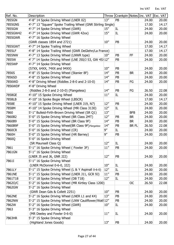| 13''<br>4'-8" 14 Spoke Driving Wheel (LNER 02)<br>PB<br>24.00<br>4'-7" 13 "Square" Spoke Trailing Wheel (GNR Stirling Single)<br>17.00<br>4'-7" 14 Spoke Driving Wheel (GWR)<br>15''<br>24.00<br>IL<br>15''<br>4'-7" 14 Spoke Driving Wheel (GWR 42xx)<br>20.00<br>IL<br>24.00<br>4'-7" 16 Spoke Driving Wheel<br>10''<br>PB<br>(GWR classes 1854 and 2721)<br>24.00<br>4'-7" 14 Spoke Trailing Wheel<br>17.00<br>4'-8" 14 Spoke Trailing Wheel (GWR DeGlehn/La France)<br>17.00<br>PB<br>4'-7" 13 Spoke Driving Wheel (LNWR type)<br>10''<br>FF<br>24.00<br>4' 7" 14 Spoke Driving Wheel (LNE J50/J 53, GW 45) 12"<br>PB<br>24.00<br>4'-7" 14 Spoke Driving Wheel<br>10''<br>PB<br>(57XX, 64XX, 74XX and 94XX)<br>24.00<br>14''<br>4'-8" 15 Spoke Driving Wheel (Stanier 8F)<br>PB<br>24.00<br><b>BR</b><br>14''<br>4'-8" 15 Spoke Driving Wheel<br>PB<br>24.00<br>4'-8" Driving Wheel (Riddles 2-8-0 and 2-10-0)<br>14''<br>PB<br>24.00<br>FG<br>4'-8" Driving Wheel<br>7856WDF<br>(Riddles 2-8-0 and 2-10-0) (Flangeless)<br>14''<br>PB<br>26.50<br>FG<br>4'-10" 15 Spoke Driving Wheel<br>11''<br>IL<br>24.00<br>4'-10" 16 Spoke Bogie Wheel (LBSCR)<br>17.00<br>12''<br>4'-10" 15 Spoke Driving Wheel (LNER J19, N7)<br>PB<br>24.00<br>4'-10" 14 Spoke Driving Wheel (MR Class 3130)<br>12''<br>24.00<br>IL<br>13''<br>5'-1" Bulleid-Firth-Brown Driving Wheel (SR Q1)<br><b>BFB</b><br>24.00<br>5'-0" 15 Spoke Driving Wheel (BR Class 2MT)<br>12''<br>PB<br><b>BR</b><br>24.00<br>14''<br>5'-0" 15 Spoke Driving Wheel (BR Class 9F)<br>PB<br><b>BR</b><br>24.00<br>5'-0" 15 Spoke Driving Wheel(BR Class 9F) Flangeless<br>14''<br>7860B9F<br>PB<br>26.50<br>22.08<br>BR FL<br>9''<br>5'-0" 16 Spoke Driving Wheel (CR)<br>IL<br>24.00<br>9''<br>7860H<br>5'-0" 15 Spoke Driving Wheel (HR Barney)<br>PB<br>20.00<br>24.00<br>5'-0" 16 Spoke Driving Wheel<br>7860Q<br>12''<br>24.00<br>(SR Maunsell Class Q)<br>IL<br>11''<br>5'-1" 16 Spoke Driving Wheel (Fowler 3F)<br>PB<br>24.00<br>7861GN<br>5'-1" 16 Spoke Driving Wheel<br>(LNER J5 and J6, GNR J22)<br>12''<br>PB<br>24.00<br>5'-1" 16 Spoke Driving Wheel<br>(LNER McDonnel 0-6-0, J22)<br>10''<br>24.00<br>IL<br>5'-1" 15 Spoke Driving Wheel (L & Y Aspinall 0-6-0)<br>12''<br>24.00<br>IL<br>5'-1" 15 Spoke Driving Wheel (LNER J11, GCR 9J)<br>11''<br>7861NE<br>PB<br>24.00<br>12''<br>5'-1" 18 Spoke Driving Wheel (DB T18)<br>24.00<br>7861T18<br>IL<br>5'-2" 16 Spoke Driving Wheel (MR Kirtley Class 1200)<br>78620/C<br><b>OC</b><br>26.50<br>5'-2" 16 Spoke Driving Wheel<br>7862GW<br>(GWR Dean Gds & Collett 2251)<br>10''<br>PB<br>24.00<br>13''<br>5'-2" 16 Spoke Driving Wheel (LNER L1 and K4)<br>24.00<br>7862NE<br>PB<br>5'-2" 15 Spoke Driving Wheel (LNW Cauliflower/Watf 12"<br>7862NW<br>PB<br>24.00<br>5'-2" 16 Spoke Driving Wheel (GWR)<br>7862W<br>10''<br>24.00<br>IL<br>5'-3" 16 Spoke Driving Wheel<br>(MR Deeley and Fowler 0-6-0)<br>11''<br>24.00<br>20.00<br>IL<br>5'-3" 15 Spoke Driving Wheel<br>7863HR | Ref. No. | Description | Throw |  | Crankpin Notes Inc. VAT Exc. VAT |
|----------------------------------------------------------------------------------------------------------------------------------------------------------------------------------------------------------------------------------------------------------------------------------------------------------------------------------------------------------------------------------------------------------------------------------------------------------------------------------------------------------------------------------------------------------------------------------------------------------------------------------------------------------------------------------------------------------------------------------------------------------------------------------------------------------------------------------------------------------------------------------------------------------------------------------------------------------------------------------------------------------------------------------------------------------------------------------------------------------------------------------------------------------------------------------------------------------------------------------------------------------------------------------------------------------------------------------------------------------------------------------------------------------------------------------------------------------------------------------------------------------------------------------------------------------------------------------------------------------------------------------------------------------------------------------------------------------------------------------------------------------------------------------------------------------------------------------------------------------------------------------------------------------------------------------------------------------------------------------------------------------------------------------------------------------------------------------------------------------------------------------------------------------------------------------------------------------------------------------------------------------------------------------------------------------------------------------------------------------------------------------------------------------------------------------------------------------------------------------------------------------------------------------------------------------------------------------------------------------------------------------------------------------------------------------------------------------------------------------------------------------------------------------------------------------------------------------------------------------------------------------------------------------------------------------------------------------------------------------------------------------------|----------|-------------|-------|--|----------------------------------|
| 14.17<br>20.00                                                                                                                                                                                                                                                                                                                                                                                                                                                                                                                                                                                                                                                                                                                                                                                                                                                                                                                                                                                                                                                                                                                                                                                                                                                                                                                                                                                                                                                                                                                                                                                                                                                                                                                                                                                                                                                                                                                                                                                                                                                                                                                                                                                                                                                                                                                                                                                                                                                                                                                                                                                                                                                                                                                                                                                                                                                                                                                                                                                                 | 7855GN   |             |       |  | 20.00                            |
|                                                                                                                                                                                                                                                                                                                                                                                                                                                                                                                                                                                                                                                                                                                                                                                                                                                                                                                                                                                                                                                                                                                                                                                                                                                                                                                                                                                                                                                                                                                                                                                                                                                                                                                                                                                                                                                                                                                                                                                                                                                                                                                                                                                                                                                                                                                                                                                                                                                                                                                                                                                                                                                                                                                                                                                                                                                                                                                                                                                                                | 7855GNS  |             |       |  |                                  |
|                                                                                                                                                                                                                                                                                                                                                                                                                                                                                                                                                                                                                                                                                                                                                                                                                                                                                                                                                                                                                                                                                                                                                                                                                                                                                                                                                                                                                                                                                                                                                                                                                                                                                                                                                                                                                                                                                                                                                                                                                                                                                                                                                                                                                                                                                                                                                                                                                                                                                                                                                                                                                                                                                                                                                                                                                                                                                                                                                                                                                | 7855GW   |             |       |  |                                  |
|                                                                                                                                                                                                                                                                                                                                                                                                                                                                                                                                                                                                                                                                                                                                                                                                                                                                                                                                                                                                                                                                                                                                                                                                                                                                                                                                                                                                                                                                                                                                                                                                                                                                                                                                                                                                                                                                                                                                                                                                                                                                                                                                                                                                                                                                                                                                                                                                                                                                                                                                                                                                                                                                                                                                                                                                                                                                                                                                                                                                                | 7855GW42 |             |       |  |                                  |
| 20.00<br>14.17<br>14.17<br>20.00<br>20.00<br>20.00<br>20.00<br>20.00<br>20.00<br>22.08<br>20.00<br>14.17<br>20.00<br>20.00<br>20.00<br>20.00<br>20.00<br>20.00<br>20.00<br>20.00<br>20.00<br>20.00<br>20.00<br>20.00<br>20.00<br>22.08<br>20.00<br>20.00<br>20.00<br>20.00                                                                                                                                                                                                                                                                                                                                                                                                                                                                                                                                                                                                                                                                                                                                                                                                                                                                                                                                                                                                                                                                                                                                                                                                                                                                                                                                                                                                                                                                                                                                                                                                                                                                                                                                                                                                                                                                                                                                                                                                                                                                                                                                                                                                                                                                                                                                                                                                                                                                                                                                                                                                                                                                                                                                     | 7855GWR  |             |       |  |                                  |
|                                                                                                                                                                                                                                                                                                                                                                                                                                                                                                                                                                                                                                                                                                                                                                                                                                                                                                                                                                                                                                                                                                                                                                                                                                                                                                                                                                                                                                                                                                                                                                                                                                                                                                                                                                                                                                                                                                                                                                                                                                                                                                                                                                                                                                                                                                                                                                                                                                                                                                                                                                                                                                                                                                                                                                                                                                                                                                                                                                                                                |          |             |       |  |                                  |
|                                                                                                                                                                                                                                                                                                                                                                                                                                                                                                                                                                                                                                                                                                                                                                                                                                                                                                                                                                                                                                                                                                                                                                                                                                                                                                                                                                                                                                                                                                                                                                                                                                                                                                                                                                                                                                                                                                                                                                                                                                                                                                                                                                                                                                                                                                                                                                                                                                                                                                                                                                                                                                                                                                                                                                                                                                                                                                                                                                                                                | 7855GWT  |             |       |  |                                  |
|                                                                                                                                                                                                                                                                                                                                                                                                                                                                                                                                                                                                                                                                                                                                                                                                                                                                                                                                                                                                                                                                                                                                                                                                                                                                                                                                                                                                                                                                                                                                                                                                                                                                                                                                                                                                                                                                                                                                                                                                                                                                                                                                                                                                                                                                                                                                                                                                                                                                                                                                                                                                                                                                                                                                                                                                                                                                                                                                                                                                                | 7855LF   |             |       |  |                                  |
|                                                                                                                                                                                                                                                                                                                                                                                                                                                                                                                                                                                                                                                                                                                                                                                                                                                                                                                                                                                                                                                                                                                                                                                                                                                                                                                                                                                                                                                                                                                                                                                                                                                                                                                                                                                                                                                                                                                                                                                                                                                                                                                                                                                                                                                                                                                                                                                                                                                                                                                                                                                                                                                                                                                                                                                                                                                                                                                                                                                                                | 7855NW   |             |       |  |                                  |
|                                                                                                                                                                                                                                                                                                                                                                                                                                                                                                                                                                                                                                                                                                                                                                                                                                                                                                                                                                                                                                                                                                                                                                                                                                                                                                                                                                                                                                                                                                                                                                                                                                                                                                                                                                                                                                                                                                                                                                                                                                                                                                                                                                                                                                                                                                                                                                                                                                                                                                                                                                                                                                                                                                                                                                                                                                                                                                                                                                                                                | 7855W    |             |       |  |                                  |
|                                                                                                                                                                                                                                                                                                                                                                                                                                                                                                                                                                                                                                                                                                                                                                                                                                                                                                                                                                                                                                                                                                                                                                                                                                                                                                                                                                                                                                                                                                                                                                                                                                                                                                                                                                                                                                                                                                                                                                                                                                                                                                                                                                                                                                                                                                                                                                                                                                                                                                                                                                                                                                                                                                                                                                                                                                                                                                                                                                                                                | 7855WP   |             |       |  |                                  |
|                                                                                                                                                                                                                                                                                                                                                                                                                                                                                                                                                                                                                                                                                                                                                                                                                                                                                                                                                                                                                                                                                                                                                                                                                                                                                                                                                                                                                                                                                                                                                                                                                                                                                                                                                                                                                                                                                                                                                                                                                                                                                                                                                                                                                                                                                                                                                                                                                                                                                                                                                                                                                                                                                                                                                                                                                                                                                                                                                                                                                |          |             |       |  |                                  |
|                                                                                                                                                                                                                                                                                                                                                                                                                                                                                                                                                                                                                                                                                                                                                                                                                                                                                                                                                                                                                                                                                                                                                                                                                                                                                                                                                                                                                                                                                                                                                                                                                                                                                                                                                                                                                                                                                                                                                                                                                                                                                                                                                                                                                                                                                                                                                                                                                                                                                                                                                                                                                                                                                                                                                                                                                                                                                                                                                                                                                | 7856S    |             |       |  |                                  |
|                                                                                                                                                                                                                                                                                                                                                                                                                                                                                                                                                                                                                                                                                                                                                                                                                                                                                                                                                                                                                                                                                                                                                                                                                                                                                                                                                                                                                                                                                                                                                                                                                                                                                                                                                                                                                                                                                                                                                                                                                                                                                                                                                                                                                                                                                                                                                                                                                                                                                                                                                                                                                                                                                                                                                                                                                                                                                                                                                                                                                | 7856SD   |             |       |  |                                  |
|                                                                                                                                                                                                                                                                                                                                                                                                                                                                                                                                                                                                                                                                                                                                                                                                                                                                                                                                                                                                                                                                                                                                                                                                                                                                                                                                                                                                                                                                                                                                                                                                                                                                                                                                                                                                                                                                                                                                                                                                                                                                                                                                                                                                                                                                                                                                                                                                                                                                                                                                                                                                                                                                                                                                                                                                                                                                                                                                                                                                                | 7856WD   |             |       |  |                                  |
|                                                                                                                                                                                                                                                                                                                                                                                                                                                                                                                                                                                                                                                                                                                                                                                                                                                                                                                                                                                                                                                                                                                                                                                                                                                                                                                                                                                                                                                                                                                                                                                                                                                                                                                                                                                                                                                                                                                                                                                                                                                                                                                                                                                                                                                                                                                                                                                                                                                                                                                                                                                                                                                                                                                                                                                                                                                                                                                                                                                                                |          |             |       |  |                                  |
|                                                                                                                                                                                                                                                                                                                                                                                                                                                                                                                                                                                                                                                                                                                                                                                                                                                                                                                                                                                                                                                                                                                                                                                                                                                                                                                                                                                                                                                                                                                                                                                                                                                                                                                                                                                                                                                                                                                                                                                                                                                                                                                                                                                                                                                                                                                                                                                                                                                                                                                                                                                                                                                                                                                                                                                                                                                                                                                                                                                                                |          |             |       |  |                                  |
|                                                                                                                                                                                                                                                                                                                                                                                                                                                                                                                                                                                                                                                                                                                                                                                                                                                                                                                                                                                                                                                                                                                                                                                                                                                                                                                                                                                                                                                                                                                                                                                                                                                                                                                                                                                                                                                                                                                                                                                                                                                                                                                                                                                                                                                                                                                                                                                                                                                                                                                                                                                                                                                                                                                                                                                                                                                                                                                                                                                                                | 7858GE   |             |       |  |                                  |
|                                                                                                                                                                                                                                                                                                                                                                                                                                                                                                                                                                                                                                                                                                                                                                                                                                                                                                                                                                                                                                                                                                                                                                                                                                                                                                                                                                                                                                                                                                                                                                                                                                                                                                                                                                                                                                                                                                                                                                                                                                                                                                                                                                                                                                                                                                                                                                                                                                                                                                                                                                                                                                                                                                                                                                                                                                                                                                                                                                                                                | 7858LB   |             |       |  |                                  |
|                                                                                                                                                                                                                                                                                                                                                                                                                                                                                                                                                                                                                                                                                                                                                                                                                                                                                                                                                                                                                                                                                                                                                                                                                                                                                                                                                                                                                                                                                                                                                                                                                                                                                                                                                                                                                                                                                                                                                                                                                                                                                                                                                                                                                                                                                                                                                                                                                                                                                                                                                                                                                                                                                                                                                                                                                                                                                                                                                                                                                | 7858E    |             |       |  |                                  |
|                                                                                                                                                                                                                                                                                                                                                                                                                                                                                                                                                                                                                                                                                                                                                                                                                                                                                                                                                                                                                                                                                                                                                                                                                                                                                                                                                                                                                                                                                                                                                                                                                                                                                                                                                                                                                                                                                                                                                                                                                                                                                                                                                                                                                                                                                                                                                                                                                                                                                                                                                                                                                                                                                                                                                                                                                                                                                                                                                                                                                | 7858M    |             |       |  |                                  |
|                                                                                                                                                                                                                                                                                                                                                                                                                                                                                                                                                                                                                                                                                                                                                                                                                                                                                                                                                                                                                                                                                                                                                                                                                                                                                                                                                                                                                                                                                                                                                                                                                                                                                                                                                                                                                                                                                                                                                                                                                                                                                                                                                                                                                                                                                                                                                                                                                                                                                                                                                                                                                                                                                                                                                                                                                                                                                                                                                                                                                | 7860     |             |       |  |                                  |
|                                                                                                                                                                                                                                                                                                                                                                                                                                                                                                                                                                                                                                                                                                                                                                                                                                                                                                                                                                                                                                                                                                                                                                                                                                                                                                                                                                                                                                                                                                                                                                                                                                                                                                                                                                                                                                                                                                                                                                                                                                                                                                                                                                                                                                                                                                                                                                                                                                                                                                                                                                                                                                                                                                                                                                                                                                                                                                                                                                                                                | 7860B2   |             |       |  |                                  |
|                                                                                                                                                                                                                                                                                                                                                                                                                                                                                                                                                                                                                                                                                                                                                                                                                                                                                                                                                                                                                                                                                                                                                                                                                                                                                                                                                                                                                                                                                                                                                                                                                                                                                                                                                                                                                                                                                                                                                                                                                                                                                                                                                                                                                                                                                                                                                                                                                                                                                                                                                                                                                                                                                                                                                                                                                                                                                                                                                                                                                | 7860B9   |             |       |  |                                  |
|                                                                                                                                                                                                                                                                                                                                                                                                                                                                                                                                                                                                                                                                                                                                                                                                                                                                                                                                                                                                                                                                                                                                                                                                                                                                                                                                                                                                                                                                                                                                                                                                                                                                                                                                                                                                                                                                                                                                                                                                                                                                                                                                                                                                                                                                                                                                                                                                                                                                                                                                                                                                                                                                                                                                                                                                                                                                                                                                                                                                                |          |             |       |  |                                  |
|                                                                                                                                                                                                                                                                                                                                                                                                                                                                                                                                                                                                                                                                                                                                                                                                                                                                                                                                                                                                                                                                                                                                                                                                                                                                                                                                                                                                                                                                                                                                                                                                                                                                                                                                                                                                                                                                                                                                                                                                                                                                                                                                                                                                                                                                                                                                                                                                                                                                                                                                                                                                                                                                                                                                                                                                                                                                                                                                                                                                                | 7860CR   |             |       |  |                                  |
|                                                                                                                                                                                                                                                                                                                                                                                                                                                                                                                                                                                                                                                                                                                                                                                                                                                                                                                                                                                                                                                                                                                                                                                                                                                                                                                                                                                                                                                                                                                                                                                                                                                                                                                                                                                                                                                                                                                                                                                                                                                                                                                                                                                                                                                                                                                                                                                                                                                                                                                                                                                                                                                                                                                                                                                                                                                                                                                                                                                                                |          |             |       |  |                                  |
|                                                                                                                                                                                                                                                                                                                                                                                                                                                                                                                                                                                                                                                                                                                                                                                                                                                                                                                                                                                                                                                                                                                                                                                                                                                                                                                                                                                                                                                                                                                                                                                                                                                                                                                                                                                                                                                                                                                                                                                                                                                                                                                                                                                                                                                                                                                                                                                                                                                                                                                                                                                                                                                                                                                                                                                                                                                                                                                                                                                                                |          |             |       |  |                                  |
|                                                                                                                                                                                                                                                                                                                                                                                                                                                                                                                                                                                                                                                                                                                                                                                                                                                                                                                                                                                                                                                                                                                                                                                                                                                                                                                                                                                                                                                                                                                                                                                                                                                                                                                                                                                                                                                                                                                                                                                                                                                                                                                                                                                                                                                                                                                                                                                                                                                                                                                                                                                                                                                                                                                                                                                                                                                                                                                                                                                                                |          |             |       |  |                                  |
|                                                                                                                                                                                                                                                                                                                                                                                                                                                                                                                                                                                                                                                                                                                                                                                                                                                                                                                                                                                                                                                                                                                                                                                                                                                                                                                                                                                                                                                                                                                                                                                                                                                                                                                                                                                                                                                                                                                                                                                                                                                                                                                                                                                                                                                                                                                                                                                                                                                                                                                                                                                                                                                                                                                                                                                                                                                                                                                                                                                                                | 7861     |             |       |  |                                  |
|                                                                                                                                                                                                                                                                                                                                                                                                                                                                                                                                                                                                                                                                                                                                                                                                                                                                                                                                                                                                                                                                                                                                                                                                                                                                                                                                                                                                                                                                                                                                                                                                                                                                                                                                                                                                                                                                                                                                                                                                                                                                                                                                                                                                                                                                                                                                                                                                                                                                                                                                                                                                                                                                                                                                                                                                                                                                                                                                                                                                                |          |             |       |  |                                  |
|                                                                                                                                                                                                                                                                                                                                                                                                                                                                                                                                                                                                                                                                                                                                                                                                                                                                                                                                                                                                                                                                                                                                                                                                                                                                                                                                                                                                                                                                                                                                                                                                                                                                                                                                                                                                                                                                                                                                                                                                                                                                                                                                                                                                                                                                                                                                                                                                                                                                                                                                                                                                                                                                                                                                                                                                                                                                                                                                                                                                                |          |             |       |  |                                  |
|                                                                                                                                                                                                                                                                                                                                                                                                                                                                                                                                                                                                                                                                                                                                                                                                                                                                                                                                                                                                                                                                                                                                                                                                                                                                                                                                                                                                                                                                                                                                                                                                                                                                                                                                                                                                                                                                                                                                                                                                                                                                                                                                                                                                                                                                                                                                                                                                                                                                                                                                                                                                                                                                                                                                                                                                                                                                                                                                                                                                                | 7861I    |             |       |  |                                  |
|                                                                                                                                                                                                                                                                                                                                                                                                                                                                                                                                                                                                                                                                                                                                                                                                                                                                                                                                                                                                                                                                                                                                                                                                                                                                                                                                                                                                                                                                                                                                                                                                                                                                                                                                                                                                                                                                                                                                                                                                                                                                                                                                                                                                                                                                                                                                                                                                                                                                                                                                                                                                                                                                                                                                                                                                                                                                                                                                                                                                                |          |             |       |  |                                  |
|                                                                                                                                                                                                                                                                                                                                                                                                                                                                                                                                                                                                                                                                                                                                                                                                                                                                                                                                                                                                                                                                                                                                                                                                                                                                                                                                                                                                                                                                                                                                                                                                                                                                                                                                                                                                                                                                                                                                                                                                                                                                                                                                                                                                                                                                                                                                                                                                                                                                                                                                                                                                                                                                                                                                                                                                                                                                                                                                                                                                                | 7861LY   |             |       |  |                                  |
|                                                                                                                                                                                                                                                                                                                                                                                                                                                                                                                                                                                                                                                                                                                                                                                                                                                                                                                                                                                                                                                                                                                                                                                                                                                                                                                                                                                                                                                                                                                                                                                                                                                                                                                                                                                                                                                                                                                                                                                                                                                                                                                                                                                                                                                                                                                                                                                                                                                                                                                                                                                                                                                                                                                                                                                                                                                                                                                                                                                                                |          |             |       |  |                                  |
|                                                                                                                                                                                                                                                                                                                                                                                                                                                                                                                                                                                                                                                                                                                                                                                                                                                                                                                                                                                                                                                                                                                                                                                                                                                                                                                                                                                                                                                                                                                                                                                                                                                                                                                                                                                                                                                                                                                                                                                                                                                                                                                                                                                                                                                                                                                                                                                                                                                                                                                                                                                                                                                                                                                                                                                                                                                                                                                                                                                                                |          |             |       |  |                                  |
|                                                                                                                                                                                                                                                                                                                                                                                                                                                                                                                                                                                                                                                                                                                                                                                                                                                                                                                                                                                                                                                                                                                                                                                                                                                                                                                                                                                                                                                                                                                                                                                                                                                                                                                                                                                                                                                                                                                                                                                                                                                                                                                                                                                                                                                                                                                                                                                                                                                                                                                                                                                                                                                                                                                                                                                                                                                                                                                                                                                                                |          |             |       |  |                                  |
|                                                                                                                                                                                                                                                                                                                                                                                                                                                                                                                                                                                                                                                                                                                                                                                                                                                                                                                                                                                                                                                                                                                                                                                                                                                                                                                                                                                                                                                                                                                                                                                                                                                                                                                                                                                                                                                                                                                                                                                                                                                                                                                                                                                                                                                                                                                                                                                                                                                                                                                                                                                                                                                                                                                                                                                                                                                                                                                                                                                                                |          |             |       |  |                                  |
|                                                                                                                                                                                                                                                                                                                                                                                                                                                                                                                                                                                                                                                                                                                                                                                                                                                                                                                                                                                                                                                                                                                                                                                                                                                                                                                                                                                                                                                                                                                                                                                                                                                                                                                                                                                                                                                                                                                                                                                                                                                                                                                                                                                                                                                                                                                                                                                                                                                                                                                                                                                                                                                                                                                                                                                                                                                                                                                                                                                                                |          |             |       |  |                                  |
|                                                                                                                                                                                                                                                                                                                                                                                                                                                                                                                                                                                                                                                                                                                                                                                                                                                                                                                                                                                                                                                                                                                                                                                                                                                                                                                                                                                                                                                                                                                                                                                                                                                                                                                                                                                                                                                                                                                                                                                                                                                                                                                                                                                                                                                                                                                                                                                                                                                                                                                                                                                                                                                                                                                                                                                                                                                                                                                                                                                                                |          |             |       |  |                                  |
|                                                                                                                                                                                                                                                                                                                                                                                                                                                                                                                                                                                                                                                                                                                                                                                                                                                                                                                                                                                                                                                                                                                                                                                                                                                                                                                                                                                                                                                                                                                                                                                                                                                                                                                                                                                                                                                                                                                                                                                                                                                                                                                                                                                                                                                                                                                                                                                                                                                                                                                                                                                                                                                                                                                                                                                                                                                                                                                                                                                                                |          |             |       |  |                                  |
|                                                                                                                                                                                                                                                                                                                                                                                                                                                                                                                                                                                                                                                                                                                                                                                                                                                                                                                                                                                                                                                                                                                                                                                                                                                                                                                                                                                                                                                                                                                                                                                                                                                                                                                                                                                                                                                                                                                                                                                                                                                                                                                                                                                                                                                                                                                                                                                                                                                                                                                                                                                                                                                                                                                                                                                                                                                                                                                                                                                                                |          |             |       |  |                                  |
|                                                                                                                                                                                                                                                                                                                                                                                                                                                                                                                                                                                                                                                                                                                                                                                                                                                                                                                                                                                                                                                                                                                                                                                                                                                                                                                                                                                                                                                                                                                                                                                                                                                                                                                                                                                                                                                                                                                                                                                                                                                                                                                                                                                                                                                                                                                                                                                                                                                                                                                                                                                                                                                                                                                                                                                                                                                                                                                                                                                                                | 7863     |             |       |  |                                  |
|                                                                                                                                                                                                                                                                                                                                                                                                                                                                                                                                                                                                                                                                                                                                                                                                                                                                                                                                                                                                                                                                                                                                                                                                                                                                                                                                                                                                                                                                                                                                                                                                                                                                                                                                                                                                                                                                                                                                                                                                                                                                                                                                                                                                                                                                                                                                                                                                                                                                                                                                                                                                                                                                                                                                                                                                                                                                                                                                                                                                                |          |             |       |  |                                  |
|                                                                                                                                                                                                                                                                                                                                                                                                                                                                                                                                                                                                                                                                                                                                                                                                                                                                                                                                                                                                                                                                                                                                                                                                                                                                                                                                                                                                                                                                                                                                                                                                                                                                                                                                                                                                                                                                                                                                                                                                                                                                                                                                                                                                                                                                                                                                                                                                                                                                                                                                                                                                                                                                                                                                                                                                                                                                                                                                                                                                                |          |             |       |  |                                  |
| (Highland Jones Goods)<br>13"<br>PB<br>24.00<br>20.00                                                                                                                                                                                                                                                                                                                                                                                                                                                                                                                                                                                                                                                                                                                                                                                                                                                                                                                                                                                                                                                                                                                                                                                                                                                                                                                                                                                                                                                                                                                                                                                                                                                                                                                                                                                                                                                                                                                                                                                                                                                                                                                                                                                                                                                                                                                                                                                                                                                                                                                                                                                                                                                                                                                                                                                                                                                                                                                                                          |          |             |       |  |                                  |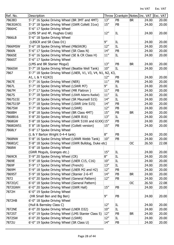| Ref. No. | Description                                                 | Throw  | Crankpin   Notes   Inc. VAT |           |       | Exc. VAT |
|----------|-------------------------------------------------------------|--------|-----------------------------|-----------|-------|----------|
| 7863B3   | 5'-3" 16 Spoke Driving Wheel (BR 3MT and 4MT)               | 13''   | <b>PB</b>                   | <b>BR</b> | 24.00 | 20.00    |
| 7863GW31 | 5'-3" 18 Spoke Driving Wheel (GWR Collett 31xx)             | $15''$ | PB                          |           | 24.00 | 20.00    |
| 7866HC   | 5'-6" 17 Spoke Driving Wheel                                |        |                             |           |       |          |
|          | (LMS 5P and 4F, Hughes Crab)                                | 12''   | IL                          |           | 24.00 | 20.00    |
| 7866LB   | 5'-6" 18 Spoke Driving Wheel                                |        |                             |           |       |          |
|          | (LBSCR and SR Class D1)                                     | 9''    | IL                          |           | 24.00 | 20.00    |
| 7866MSW  | 5'-6" 18 Spoke Driving Wheel (M&SWJR)                       | 12"    | IL                          |           | 24.00 | 20.00    |
| 7866N    | 5'-6" 17 Spoke Driving Wheel (SR Class N)                   | 14''   | PB                          |           | 24.00 | 20.00    |
| 7866SE   | 5'-6" 16 Spoke Driving Wheel (SE & CR Class H)              | 11''   | IL                          |           | 24.00 | 20.00    |
| 7866ST   | 5'-6" 17 Spoke Driving Wheel                                |        |                             |           |       |          |
|          | (LMS and BR Stanier Mogul)                                  | 13''   | PB                          | <b>BR</b> | 24.00 | 20.00    |
| 7866SW   | 5'-7" 18 Spoke Driving Wheel (Beattie Well Tank)            | 10''   | IL                          |           | 24.00 | 20.00    |
| 7867     | 5'-7" 18 Spoke Driving Wheel (LNER, V1, V3, V4, N1, N2, K3, |        |                             |           |       |          |
|          | A1, L & Y K2/K3)                                            | 12''   | <b>PB</b>                   |           | 24.00 | 20.00    |
| 7867E    | 5'-7" 16 Spoke Driving Wheel (NER)                          | 11''   | PB                          |           | 24.00 | 20.00    |
| 7867L    | 5'-7" 18 Spoke Driving Wheel (LSWR M7)                      | 9''    | IL                          |           | 24.00 | 20.00    |
| 7867M    | 5'-7" 17 Spoke Driving Wheel (MR Flatiron)                  | 11''   | PB                          |           | 24.00 | 20.00    |
| 7867S    | 5'-7" 18 Spoke Driving Wheel (LSWR Adams Radial)            | 11''   | IL                          |           | 24.00 | 20.00    |
| 7867S15I | 5'-7" 18 Spoke Driving Wheel (SR Maunsell S15)              | 14''   | IL                          |           | 24.00 | 20.00    |
| 7867S15P | 5'-7" 18 Spoke Driving Wheel (LSWR Urie S15)                | 14''   | PB                          |           | 24.00 | 20.00    |
| 7867SW   | 5'-7" 18 Spoke Driving Wheel (LSWR)                         | 12''   | PB                          |           | 24.00 | 20.00    |
| 7868B4   | 5'-8" 18 Spoke Driving Wheel (BR Class 4MT)                 | 15''   | PB                          | <b>BR</b> | 24.00 | 20.00    |
| 7868B16  | 5'-8" 20 Spoke Driving Wheel (LNER B16)                     | 13''   | IL                          |           | 24.00 | 20.00    |
| 7868GW   | 5'-8" 18 Spoke Driving Wheel (GWR 51XX and 61XX) 15"        |        | PB                          |           | 24.00 | 20.00    |
| 7868GW51 | 5' 8" 18 Spoke Driving Wheel (Collett version)              | 15''   | PB                          |           | 24.00 | 20.00    |
| 7868LY   | 5'-8" 17 Spoke Driving Wheel                                |        |                             |           |       |          |
|          | (L & Y Barton Wright 0-4-4 tank)                            | 8''    | <b>PB</b>                   |           | 24.00 | 20.00    |
| 7868NW   | 5'-8" 16 Spoke Driving Wheel (LNWR Webb Tank)               | 10''   | PB                          |           | 24.00 | 20.00    |
| 7868O/C  | 5'-8" 18 Spoke Driving Wheel (GWR Bulldog, Duke etc)        |        |                             | <b>OC</b> | 26.50 | 22.08    |
| 7868W    | 5'-8" 18 Spoke Driving Wheel                                |        |                             |           |       |          |
|          | (GWR Moguls, Granges etc.)                                  | 15''   | IL                          |           | 24.00 | 20.00    |
| 7869CR   | 5'-9" 20 Spoke Driving Wheel (CR)                           | 8''    | IL                          |           | 24.00 | 20.00    |
| 7869E    | 5'-9" 18 Spoke Driving Wheel (LNER C15, C16)                | 10''   | IL                          |           | 24.00 | 20.00    |
| 7869F    | 5'-9" 17 Spoke Driving Wheel (French)                       | 13''   | IL                          |           | 24.00 | 20.00    |
| 7869M    | 5'-9" 18 Spoke Driving Wheel (LNER M2 and H2)               | 12''   | PB                          |           | 24.00 | 20.00    |
| 7869ST   | 5'-9" 18 Spoke Driving Wheel (Stanier 2-6-4T                | 14''   | PB                          | <b>BR</b> | 24.00 | 20.00    |
| 7872     | 6'-0" 20 Spoke Driving Wheel (General Pattern)              | 12''   | PB                          |           | 24.00 | 20.00    |
| 78720/C  | 6'-0" 18 Spoke Driving Wheel (General Pattern)              |        |                             | <b>OC</b> | 26.50 | 22.08    |
| 7872GWH  | 6'-0" 20 Spoke Driving Wheel (GWR Hall)                     | 15''   | PB                          |           | 24.00 | 20.00    |
| 7872H    | 6'-0" 19 Spoke Driving Wheel                                |        |                             |           |       |          |
|          | (HR Small Ben and Big Ben)                                  | 9''    | PB                          |           | 24.00 | 20.00    |
| 7872HB   | 6'-0" 18 Spoke Driving Wheel                                |        |                             |           |       |          |
|          | (Hull & Barnsley Class C)                                   | 12"    | IL                          |           | 24.00 | 20.00    |
| 7872NE   | 6'-0" 20 Spoke Driving Wheel (LNER D32)                     | 10''   | IL                          |           | 24.00 | 20.00    |
| 7872ST   | 6'-0" 19 Spoke Driving Wheel (LMS Stanier Class 5)          | 12''   | PB                          | <b>BR</b> | 24.00 | 20.00    |
| 7872SW   | 6'-0" 20 Spoke Driving Wheel (LSWR)                         | 12''   | IL                          |           | 24.00 | 20.00    |
| 7872U    | 6'-0" 19 Spoke Driving Wheel (SR Class U)                   | 14''   | PB                          |           | 24.00 | 20.00    |
|          |                                                             |        |                             |           |       |          |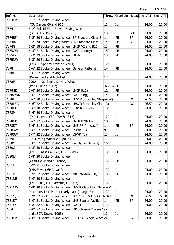| Ref. No. | Description                                                | Throw               |    |            | Crankpin Notes Inc. VAT Exc. VAT |       |
|----------|------------------------------------------------------------|---------------------|----|------------|----------------------------------|-------|
| 7873CR   | 6'-1" 22 Spoke Driving Wheel                               |                     |    |            |                                  |       |
|          | (CR Classes 60 and 956)                                    | 13''                | IL |            | 24.00                            | 20.00 |
| 7874     | 6'-2" Bulleid-Firth-Brown Driving Wheel                    |                     |    |            |                                  |       |
|          | (SR Bullied Pacific)                                       | 13''                |    | <b>BFB</b> | 24.00                            | 20.00 |
| 7874B5   | 6'-2" 20 Spoke Driving Wheel (BR Standard Class 5)         | 14''                | PB | <b>BR</b>  | 24.00                            | 20.00 |
| 7874B7   | 6' 2" 20 Spoke Driving Wheel (BR Standard Class 7)         | 14''                | PB | <b>BR</b>  | 24.00                            | 20.00 |
| 7874G    | 6'-2" 18 Spoke Driving Wheel (LNER V2 and B1)              | 13''                | PB |            | 24.00                            | 20.00 |
| 7875GW   | 6'-3" 21 Spoke Driving Wheel (GWR County)                  | 15''                | PB |            | 24.00                            | 20.00 |
| 7875LY   | 6'-3" 19 Spoke Driving Wheel (L&YR)                        | 13''                | PB |            | 24.00                            | 20.00 |
| 7875NW   | 6'-3" 20 Spoke Driving Wheel                               |                     |    |            |                                  |       |
|          | (LNWR Experiment/Pr of Wales)                              | 12''                | IL |            | 24.00                            | 20.00 |
| 7878     | 6'-6" 22 Spoke Driving Wheel (General Pattern)             | 14''                | PB |            | 24.00                            | 20.00 |
| 7878D    | 6'-6" 22 Spoke Driving Wheel                               |                     |    |            |                                  |       |
|          | (Drummond and McIntosh)                                    | 12''                | IL |            | 24.00                            | 20.00 |
| 7878F    | 2000mm 21 Spoke Driving Wheel                              |                     |    |            |                                  |       |
|          | (Paris-Orlean 2-4-2)                                       | 325mm PB            |    |            | 24.00                            | 20.00 |
| 7878GE   | 6'-6" 20 Spoke Driving Wheel (LNER B12)                    | 12''                | PB |            | 24.00                            | 20.00 |
| 7878GWK  | 6'-6" 22 Spoke Driving Wheel (GWR King)                    | 14''                | PB |            | 24.00                            | 20.00 |
| 7878LBB  | 6'-6" 20 Spoke Driving Wheel (LBSCR Stroudley 'Belgravia') |                     |    | <b>OC</b>  | 26.50                            | 22.08 |
| 7878LBG  | 6'-6" 22 Spoke Driving Wheel (LBSCR Stroudley Class G)     |                     |    | <b>OC</b>  | 26.50                            | 22.08 |
| 7878LTS  | 6'-6" 18 Spoke Driving Wheel (LT&SR 4-4-2T)                | 13''                | IL |            | 24.00                            | 20.00 |
| 7878M    | 6'-6" 20 Spoke Driving Wheel                               |                     |    |            |                                  |       |
|          | (MR Johnson Cl 2, 999 & 1312)                              | 12''                | IL |            | 24.00                            | 20.00 |
| 7878NB   | 6'-6" 22 Spoke Driving Wheel (LNER D29/30)                 | 10''                | IL |            | 24.00                            | 20.00 |
| 7878ST   | 6'-6" 21 Spoke Driving Wheel (LMS 7P 'Princess')           | 14''                | PB | <b>BR</b>  | 24.00                            | 20.00 |
| 7878SW   | 6'-6" 22 Spoke Driving Wheel (LSWR T9)                     | 9''                 | IL |            | 24.00                            | 20.00 |
| 7879SW   | 6'-7" 22 Spoke Driving Wheel (LSWR T3)                     | 13''                | IL |            | 24.00                            | 20.00 |
| 7879LB   | 6'7" Driving Wheel 20 Spoke LBSC H2                        |                     |    |            | 24.00                            | 20.00 |
| 7880CT   | 6'-8" 22 Spoke Driving Wheel (County/County tank)          | $15^{\prime\prime}$ | IL |            | 24.00                            | 20.00 |
| 7880G    | 6'-8" 20 Spoke Driving Wheel                               |                     |    |            |                                  |       |
|          | (LNER Classes A3, A4, B17, & W1)                           | 13''                | PB |            | 24.00                            | 20.00 |
| 7880LF   | 6'-8" 20 Spoke Driving Wheel                               |                     |    |            |                                  |       |
|          | (GWR DeGlehn/La France)                                    | 13''                | PB |            | 24.00                            | 20.00 |
| 7881F    | 6'-9" 21 Spoke Driving Wheel                               |                     |    |            |                                  |       |
|          | (LMS Fowler 6P Royal Scott)                                | 13''                | IL |            | 24.00                            | 20.00 |
| 7881M    | 6'-9" 22 Spoke Driving Wheel (MR Johnson 800)              | 13''                | PB |            | 24.00                            | 20.00 |
| 7881NE   | 6'-9" 20 Spoke Driving Wheel                               |                     |    |            |                                  |       |
|          | (LNER D10, D11 Director, MR 207)                           | 13''                | IL |            | 24.00                            | 20.00 |
| 7881NW   | 6'-9" 20 Spoke Driving Wheel (LNWR Claughton George V,     |                     |    |            |                                  |       |
|          | Precursor, LMS Patriot (early batch) Large Boss            | 13''                | IL |            | 24.00                            | 20.00 |
| 78810/C  | 6'-9" 22 Spoke Driving Wheel (GC-Parker 6D, 6DB, LNER D8)  |                     |    | <b>OC</b>  | 26.50                            | 22.08 |
| 7881ST   | 6'-9" 21 Spoke Driving Wheel (LMS Stanier Pacific)         | 14''                | PB | <b>BR</b>  | 24.00                            | 20.00 |
| 7881W    | 6'-8" 22 Spoke Driving Wheel (GWR)                         | 13''                | IL |            | 24.00                            | 20.00 |
| 7884     | 7'-0" 22 Spoke Driving Wheel (MR Johnson Classes 197,      |                     |    |            |                                  |       |
|          | and 1327, Deeley 1005)                                     | 13''                | IL |            | 24.00                            | 20.00 |
| 7884CR   | 7'-0" 24 Spoke Driving Wheel (CR 123 - Single Wheeler)     |                     |    | <b>SW</b>  | 24.00                            | 20.00 |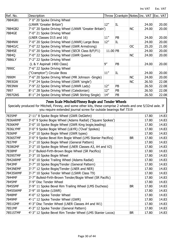| Ref. No. | Description                                                      | Throw               |    |           | Crankpin   Notes   Inc. VAT | Exc. VAT |
|----------|------------------------------------------------------------------|---------------------|----|-----------|-----------------------------|----------|
| 7884GB1  | 7' 0" 20 Spoke Driving Wheel                                     |                     |    |           |                             |          |
|          | (LNWR 'Greater Britain')                                         | 12''                | IL |           | 24.00                       | 20.00    |
| 7884GB2  | 7'-0" 20 Spoke Driving Wheel (LNWR 'Greater Britain')            |                     |    | <b>NC</b> | 24.00                       | 20.00    |
| 7884GE   | 7'-0" 21 Spoke Driving Wheel                                     |                     |    |           |                             |          |
|          | (LNER Classes D15 and 16)                                        | 11''                | PB |           | 24.00                       | 20.00    |
| 7884NW   | 7'-0" 20 Spoke Driving Wheel (LNWR) Large Boss                   | 12''                | IL |           | 24.00                       | 20.00    |
| 7884O/C  | 7'-0" 22 Spoke Driving Wheel (GWR Armstrong)                     |                     |    | <b>OC</b> | 25.20                       | 21.00    |
| 7884SE   | 7'-0" 20 Spoke Driving Wheel (SECR Class B/F/F1)                 | 11.00 PB            |    |           | 24.00                       | 20.00    |
| 7884Q    | 7'-0" 22 Spoke Driving Wheel (GWR Queen)                         |                     |    | <b>NC</b> | 24.00                       | 20.00    |
| 7886LY   | 7'-2" 22 Spoke Driving Wheel                                     |                     |    |           |                             |          |
|          | (L & Y Aspinall 1400 Class)                                      | 9''                 | PB |           | 24.00                       | 20.00    |
| 7890C    | 7'-6" 22 Spoke Driving Wheel                                     |                     |    |           |                             |          |
|          | ("Crampton") Circular Boss                                       | $11^{\prime\prime}$ | IL |           | 24.00                       | 20.00    |
| 7890M    | 7'-6" 20 Spoke Driving Wheel (MR Johnson -Single)                |                     |    | <b>NC</b> | 24.00                       | 20.00    |
| 7893GW   | 7'-9" 24 Spoke Driving Wheel (GWR 'single')                      |                     |    | <b>NC</b> | 26.50                       | 22.08    |
| 7893NW   | 7'-9" 22 Spoke Driving Wheel (LNWR Lady)                         | 12''                | PB |           | 26.50                       | 22.08    |
| 7897     | 8'-1" 28 Spoke Driving Wheel (Caledonian)                        | 12''                | PB |           | 26.50                       | 22.08    |
| 7897GNS  | 8'-1" 24 Spoke Driving Wheel (GNR Stirling Single)               | 14''                | PB |           | 26.50                       | 22.08    |
|          | you require extended journal screw for outside bearings Ref 7319 |                     |    |           |                             |          |
| 7835MF   | 2'-11" 8 Spoke Bogie Wheel (GWR DeGlehn)                         |                     |    |           | 17.80                       | 14.83    |
| 7836ARMF | 3'-0" 9 Spoke Bogie Wheel (Adams Radial) ('Square Spokes')       |                     |    |           | 17.80                       | 14.83    |
| 7836KMF  | 3'-0" 10 Spoke Bogie Wheel (GWR King bogie, leading)             |                     |    |           | 17.80                       | 14.83    |
| 7836LYMF | 3'-0" 9 Spoke Bogie Wheel (L&YR) ('Oval' Spokes)                 |                     |    |           | 17.80                       | 14.83    |
| 7836MF   | 3'-0" 10 Spoke Bogie Wheel (GWR types)                           |                     |    |           | 17.80                       | 14.83    |
| 7836STMF | 3'-0" 9 Spoke Bevel Rim Bogie Wheel (LMS Stanier Pacifics)       |                     |    | <b>BR</b> | 17.80                       | 14.83    |
| 7837MF   | 3'-1" 10 Spoke Bogie Wheel (General Pattern)                     |                     |    |           | 17.80                       | 14.83    |
| 7838GMF  | 3'-2" 10 Spoke Bogie Wheel (LNER Classes A3, A4 and V2)          |                     |    |           | 17.80                       | 14.83    |
| 7838MF   | 3'-1" Bulleid-Firth-Brown Bogie Wheel (SR Pacifics)              |                     |    |           | 17.80                       | 14.83    |
| 7839STMF | 3'-3" 10 Spoke Bogie Wheel                                       |                     |    |           | 17.80                       | 14.83    |
| 7842ARMF | 3'-6" 10 Spoke Trailing Wheel (Adams Radial)                     |                     |    |           | 17.80                       | 14.83    |
| 7843MF   | 3'-7" 10 Spoke Bogie/Tender (General Pattern)                    |                     |    |           | 17.80                       | 14.83    |
| 7843NEMF | 3'-7" 12 Spoke Bogie/Tender (LNER and NER)                       |                     |    |           | 17.80                       | 14.83    |
| 7843SWMF | 3'-7" 10 Spoke Tender Wheel (LSWR Class T9)                      |                     |    |           | 17.80                       | 14.83    |
| 7844MF   | 3'-7" Bulleid-Firth-Brown Tender/Bogie Wheel (SR Pacific)        |                     |    |           | 17.80                       | 14.83    |
| 7845MF   | 3'-9" Disc Tender Wheel                                          |                     |    |           | 17.80                       | 14.83    |
| 7845SMF  | 3'-9" 11 Spoke Bevel Rim Trailing Wheel (LMS Duchess)            |                     |    | <b>BR</b> | 17.80                       | 14.83    |
| 7845SWMF | 3'-9" 10 Spoke (LSWR)                                            |                     |    |           | 17.80                       | 14.83    |
| 7848MF   | 4'-0" 12 Spoke Tender Wheel                                      |                     |    |           | 17.80                       | 14.83    |
| 7849MF   | 4'-1" 12 Spoke Tender Wheel (GWR)                                |                     |    |           | 17.80                       | 14.83    |
| 7851GMF  | 4'-3" Disc Tender Wheel (LNER Classes A4 and W1)                 |                     |    |           | 17.80                       | 14.83    |
| 7851MF   | 4'-3" 12 Spoke Tender (General Pattern)                          |                     |    |           | 17.80                       | 14.83    |
| 7851STMF | 4'-3" 12 Spoke Bevel Rim Tender Wheel (LMS Stanier Locos)        |                     |    | <b>BR</b> | 17.80                       | 14.83    |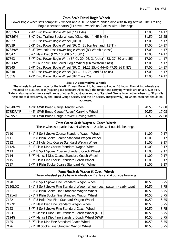#### 7mm Scale Diesel Bogie Wheels

Power Bogie wheelsets comprise 2 wheels and a 3/16" square-ended axle with fixing screws. The Trailing Bogie wheelset packs (†) have 4 wheels on 2 axles with 4 bearings.

| <b>B7832AU</b>      | 2'-8" Disc Power Bogie Wheel (1/8 Axle)                                   | 17.00 | 14.17 |
|---------------------|---------------------------------------------------------------------------|-------|-------|
| B7836P <sup>+</sup> | 3'-0" Disc Trailing Bogie Wheels (Class 40, 44, 45 & 46)                  | 31.50 | 26.25 |
| B7837               | 3'-1" Disc Power Bogie Wheel (DMU)                                        | 17.00 | 14.17 |
| B7839               | 3'-3" Disc Power Bogie Wheel (BR Cl. 31 [centre] and H.S.T.)              | 17.00 | 14.17 |
| <b>B7839W</b>       | 3'-3" Two hole Disc Power Bogie Wheel (BR Warship class)                  | 17.00 | 14.17 |
| B7842               | 3'-6" Plain Disc (LMS 10,000 & 10,001)                                    | 17.00 | 14.17 |
| B7843               | 3'-7" Disc Power Bogie Whl. (BR Cl. 20, 26, 31[outer], 33, 37, 50 and 55) | 17.00 | 14.17 |
| <b>B7843W</b>       | 3'-7" Four hole Disc Power Bogie Wheel (BR Western class)                 | 17.00 | 14.17 |
| B7845               | 3'-9" Disc Power Bogie Wheel (BR Cl. 24,25,35,40,44-46,47,56,86 & 87)     | 17.00 | 14.17 |
| B7848               | 4'-0" Disc Power Bogie Wheel (BR Cl. 71, 74, and 81 to 85)                | 17.00 | 14.17 |
| 7851G               | 4'-3" Disc Power Bogie Wheel (BR Class 76)                                | 17.00 | 14.17 |

#### **Scale 7 Locomotive Wheels**

The wheels listed are made for the Martin Finney 'Rover' kit, but may suit other BG locos. The driving wheels are mounted on a 3/16in axle (requiring our standard Allen key); the tender and carrying wheels are on a 5/32in axle. Slater's also manufacture a small range of other Broad Gauge and also Standard Gauge Locomotive Wheels to S7 profile. These are sold exclusively by the Broad Gauge Society and the S7 Society (respectively), to whom enquiries should be addressed.

| S7848RMF        | 4'-'0" GWR Broad Gauge Tender Wheel           | 20.50 | 17.08 |
|-----------------|-----------------------------------------------|-------|-------|
| <b>S7853RMF</b> | 4'-'5" GWR Broad Gauge "Rover" Carrying Wheel | 20.50 | 17.08 |
| <b>S7895R</b>   | 8'-'0" GWR Broad Gauge "Rover" Driving Wheel  | 26.50 | 22.08 |

#### 7mm Coarse Scale Wagon & Coach Wheels

These wheelset packs have 4 wheels on 2 axles & 4 outside bearings.

| 7110  | 3'-1" 8 Split Spoke Coarse Standard Wagon Wheel |  | 11.00 | 9.17 |
|-------|-------------------------------------------------|--|-------|------|
| 7111  | 3'-1" 8 Plain Spoke Coarse Standard Wagon Wheel |  | 11.00 | 9.17 |
| 7112  | 3'-1" 3 Hole Disc Coarse Standard Wagon Wheel   |  | 11.00 | 9.17 |
| 7112D | 3'-1" Plain Disc Coarse Standard Wagon Wheel    |  | 11.00 | 9.17 |
| 7113  | 3'-7" 8 Split Spoke Coarse Standard Coach Wheel |  | 11.00 | 9.17 |
| 7114  | 3'-7" Mansell Disc Coarse Standard Coach Wheel  |  | 11.00 | 9.17 |
| 7115  | 3'-7" Plain Disc Coarse Standard Coach Wheel    |  | 11.00 | 9.17 |
| 7117  | 3'-7" 8 Plain Spoke Coarse Standard Van Wheel   |  | 11.00 | 9.17 |

#### 7mm FineScale Wagon & Coach Wheels

These wheelset packs have 4 wheels on 2 axles and 4 outside bearings.

| 7120    | 3'-1" 8 Split Spoke Fine Standard Wagon Wheel                             | 10.50 | 8.75 |
|---------|---------------------------------------------------------------------------|-------|------|
| 7120LOC | 3'-1" 8 Split Spoke Fine Standard Wagon Wheel (Loch pattern - early type) | 10.50 | 8.75 |
| 7121    | 3'-1" 8 Plain Spoke Fine Standard Wagon Wheel                             | 10.50 | 8.75 |
| 7121AU  | 3'-1" 9 Plain Spoke Fine Standard Wagon Wheel                             | 10.50 | 8.75 |
| 7122    | 3'-1" 3 Hole Disc Fine Standard Wagon Wheel                               | 10.50 | 8.75 |
| 7122D   | 3'-1" Plain Disc Fine Standard Wagon Wheel                                | 10.50 | 8.75 |
| 7123    | 3'-7" 8 Split Spoke Fine Standard Coach Wheel                             | 10.50 | 8.75 |
| 7124    | 3'-7" Mansell Disc Fine Standard Coach Wheel (MR)                         | 10.50 | 8.75 |
| 7124G   | 3'-7" Mansell Disc Fine Standard Coach Wheel (GWR)                        | 10.50 | 8.75 |
| 7125    | 3'-7" Plain Disc Fine Standard Coach Wheel                                | 10.50 | 8.75 |
| 7126    | 3'-1" 10 Spoke Fine Standard Wagon Wheel                                  | 10.50 | 8.75 |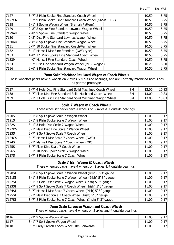| 7127   | 3'-7" 8 Plain Spoke Fine Standard Coach Wheel                                                                                                                                          |           | 10.50 | 8.75  |
|--------|----------------------------------------------------------------------------------------------------------------------------------------------------------------------------------------|-----------|-------|-------|
| 7127GN | 3'-7" 9 Plain Spoke Fine Standard Coach Wheel (GNSR + HR)                                                                                                                              |           | 10.50 | 8.75  |
| 7128   | 3'-1" 8 Spoke Wagon Wheel (Bramah Pattern)                                                                                                                                             |           | 10.50 | 8.75  |
| 7129   | 2'-8" 8 Spoke Fine Standard Lowmac Wagon Wheel                                                                                                                                         |           | 10.50 | 8.75  |
| 7129AU | 2'-8" 9 Spoke Fine Standard Wagon Wheel                                                                                                                                                |           | 10.50 | 8.75  |
| 7130   | 2'-8" Disc Fine Standard Lowmac Wagon Wheel                                                                                                                                            |           | 10.50 | 8.75  |
| 7130AU | 2'-8" 8 Split Spoke Fine Standard Wagon Wheel                                                                                                                                          |           | 10.50 | 8.75  |
| 7131   | 3'-7" 10 Spoke Fine Standard Coach/Van Wheel                                                                                                                                           |           | 10.50 | 8.75  |
| 7132   | 3'-1" Mansell Disc Fine Standard (GWR type)                                                                                                                                            |           | 10.50 | 8.75  |
| 7133   | 4'-0" 12 Plain Spoke Fine Standard Coach Wheel                                                                                                                                         |           | 10.50 | 8.75  |
| 7133M  | 4'-0" Mansell Fine Standard Coach Wheel                                                                                                                                                |           | 10.50 | 8.75  |
| 7134   | 3'-7" Disc Fine Standard Wagon Wheel (MGR Wagon)                                                                                                                                       |           | 10.20 | 8.50  |
| 7136   | 2'-6" 8 Plain Spoke Fine Standard Wagon Wheel                                                                                                                                          |           | 10.50 | 8.75  |
|        | 7mm Solid Machined Insulated Wagon & Coach Wheels<br>These wheelset packs have 4 wheels on 2 axles & 4 outside bearings, and are Correctly machined both sides<br>as per the prototype |           |       |       |
| 7137   | 3'-7" 4 Hole Disc Fine Standard Solid Machined Coach Wheel                                                                                                                             | SM        | 13.00 | 10.83 |
| 7138   | 3'-7" Plain Disc Fine Standard Solid Machined Coach Wheel                                                                                                                              | <b>SM</b> | 13.00 | 10.83 |
| 7139   | 3'-1" 3 Hole Disc Fine Standard Solid Machined Wagon Wheel                                                                                                                             | SM        | 13.00 | 10.83 |
|        | Scale 7 Wagon & Coach Wheels<br>These wheelset packs have 4 wheels on 2 axles & 4 outside bearings.                                                                                    |           |       |       |
| 7120S  | 3'-1" 8 Split Spoke Scale 7 Wagon Wheel                                                                                                                                                |           | 11.00 | 9.17  |
| 7121S  | 3'-1" 8 Plain Spoke Scale 7 Wagon Wheel                                                                                                                                                |           | 11.00 | 9.17  |
| 7122S  | 3'-1" 3 Hole Disc Scale 7 Wagon Wheel                                                                                                                                                  |           | 11.00 | 9.17  |
| 7122DS | 3'-1" Plain Disc Fine Scale 7 Wagon Wheel                                                                                                                                              |           | 11.00 | 9.17  |
| 7123S  | 3'-7" 8 Split Spoke Scale 7 Coach Wheel                                                                                                                                                |           | 11.00 | 9.17  |
| 7124GS | 3'-7" Mansell Disc Scale 7 Coach Wheel (GWR)                                                                                                                                           |           | 11.00 | 9.17  |
| 7124S  | 3'-7" Mansell Disc Scale 7 Coach Wheel (MR)                                                                                                                                            |           | 11.00 | 9.17  |
| 7125S  | 3'-7" Plain Disc Scale 7 Coach Wheel                                                                                                                                                   |           | 11.00 | 9.17  |
| 7126S  | 3'-1" 10 Plain Spoke Scale 7 Wagon Wheel                                                                                                                                               |           | 11.00 | 9.17  |
| 7127S  | 3'-7" 8 Plain Spoke Scale 7 Coach Wheel                                                                                                                                                |           | 11.00 | 9.17  |
|        | Scale 7 Irish Wagon & Coach Wheels<br>These wheelset packs have 4 wheels on 2 axles & 4 outside bearings.                                                                              |           |       |       |
| 7120SI | 3'-1" 8 Split Spoke Scale 7 Wagon Wheel (Irish) 5'-3" gauge                                                                                                                            |           | 11.00 | 9.17  |
| 7121SI | 3'-1" 8 Plain Spoke Scale 7 Wagon Wheel (Irish) 5' 3" gauge                                                                                                                            |           | 11.00 | 9.17  |
| 7122SI | 3'-1" 3 Hole Disc Scale 7 Wagon Wheel (Irish) 5' 3" gauge                                                                                                                              |           | 11.00 | 9.17  |
| 7123SI | 3'-7" 8 Split Spoke Scale 7 Coach Wheel (Irish) 5' 3" gauge                                                                                                                            |           | 11.00 | 9.17  |
| 7124SI | 3'-7" Mansell Disc Scale 7 Coach Wheel (Irish) 5' 3" gauge                                                                                                                             |           | 11.00 | 9.17  |
| 7125SI | 3'-7" Plain Disc Scale 7 Coach Wheel (Irish) 5' 3" gauge                                                                                                                               |           | 11.00 | 9.17  |
| 7127SI | 3'-7" 8 Plain Spoke Scale 7 Coach Wheel (Irish) 5' 3" gauge                                                                                                                            |           | 11.00 | 9.17  |
|        | 7mm Scale European Wagon and Coach Wheels<br>These wheelset packs have 4 wheels on 2 axles and 4 outside bearings                                                                      |           |       |       |
| 8116   | 3'-3" 9 Spoke Wagon Wheel                                                                                                                                                              |           | 11.00 | 9.17  |
| 8117   | 3'-1" 7 Split Spoke Wagon Wheel                                                                                                                                                        |           | 11.00 | 9.17  |
| 8118   | 3'-7" Early French Coach Wheel 1840 onwards                                                                                                                                            |           | 11.00 | 9.17  |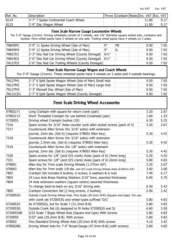| Ref. No. | Description                           | Throw Crankpin Notes Inc. VAT Exc. VAT |               |      |
|----------|---------------------------------------|----------------------------------------|---------------|------|
| 8119     | 3'-7" 7 Spoke Continental Coach Wheel |                                        | $11.00^\circ$ | 9.17 |
| 8123     | 2'-9" Disc Wagon Wheel                |                                        | $11.00^\circ$ | 9.17 |

#### 7mm Scale Narrow Gauge Locomotive Wheels

For 3'-0" Gauge (21mm). Driving wheelsets consist of 2 wheels, one 1/8" diameter square ended axle, crankpins and bushes. Pony wheel packs have 2 wheels on one axle. Trailing wheel packs have 4 wheels on 2 axles.

| 7N845M1 | 3'-9" 11 Spoke Driving Wheel (Isle of Man)           | Q''            | PB | 9.50 | 7.92 |
|---------|------------------------------------------------------|----------------|----|------|------|
| 7N845M2 | 3'-9" 12 Spoke Driving Wheel (Isle of Man)           | Q''            |    | 9.50 | 7.92 |
| 7N827D1 | 2'-3" Disc Rail Car Driving Wheel (County Donegal)   | $6\frac{1}{2}$ |    | 9.50 | 7.92 |
| 7N824D2 | 2'-0" Disc Rail Car Driving Wheel (County Donegal)   | $6\frac{1}{2}$ |    | 9.50 | 7.92 |
| 7N127D3 | 2'-0" Disc Rail Car Trailing Wheels (County Donegal) |                |    | 9.50 | 7.92 |

#### 7mm Scale Narrow Gauge Wagon and Coach Wheels

For 3'-0" Gauge (21mm). These wheelset packs have 4 wheels on 2 axles and 4 outside bearings.

| 7N127M1  | 2'-3" 6 Split Spoke Wagon Wheel (Isle of Man) Small Hub | 9.50 | 7.92 |
|----------|---------------------------------------------------------|------|------|
| 17N127M2 | 2'-3" 6 Split Spoke Wagon Wheel (Isle of Man) Large Hub | 9.50 | 7.92 |
| 17N127M3 | 2'-3" Mansell Disc Wheel (Isle of Man)                  | 9.50 | 7.92 |
| 7N131CD1 | 2'-7" 8 Split Spoke Wagon Wheel (County Donegal)        | 9.50 | 7.92 |

#### 7mm Scale Driving Wheel Accessories

| X7802LY1<br>Long Crankpin with square for return crank (pair)<br>X7802LY2<br>Short Threaded Crankpin for use behind Crosshead (pair)<br>X720055<br>Driving wheel Crankpin bushes (10) | 3.20<br>1.60<br>6.30<br>3.20 | 2.67<br>1.33<br>5.25 |
|---------------------------------------------------------------------------------------------------------------------------------------------------------------------------------------|------------------------------|----------------------|
|                                                                                                                                                                                       |                              |                      |
|                                                                                                                                                                                       |                              |                      |
|                                                                                                                                                                                       |                              |                      |
| Spare screws for 3/16" Axles counter sunk allen socket screws (pack of 4)<br>7316                                                                                                     |                              | 2.67                 |
| Countersunk Allen Screw (for 3/16" axles) with extension<br>7317                                                                                                                      |                              |                      |
| journal, 2mm dia. (Set 6) (requires X78003 Allen Key).                                                                                                                                | 5.30                         | 4.42                 |
| 7318<br>Countersunk Allen Screw (for 3/16" axles) with extension                                                                                                                      |                              |                      |
| journal, 2.5mm dia. (Set 6) (requires X78003 Allen Key)                                                                                                                               | 5.30                         | 4.42                 |
| 7319<br>Countersunk Allen Screw (for 1/8" axles) with extension                                                                                                                       |                              |                      |
| journal, 2mm dia. (Set 6) (requires X78003 Allen Key)                                                                                                                                 | 5.30                         | 4.42                 |
| 7320<br>Spare screws for 1/8" (and O/S crank) Axles (pack of 6) (4mm long)                                                                                                            | 5.30                         | 4.42                 |
| Spare screws for 1/8" (and O/S crank) Axles (pack of 6) (6mm long)<br>7321                                                                                                            | 5.80                         | 4.83                 |
| Allen Key for 7mm scale Driving Wheels (1.27mm A/F)<br>X78001                                                                                                                         | 3.20                         | 2.67                 |
| X78003<br>Allen Key for 7mm scale 1/8 dia. and O/S crank Driving Wheels Axles (0.89mm A/F)                                                                                            | 3.60                         | 3.00                 |
| 7802<br>Crankpin Set includes 8 bushes, 6 screws, 6 washers & 6 nuts                                                                                                                  | 7.40                         | 6.17                 |
| 7803<br>24 Loco Axle Brass Packing Washers 3/16" bore, assorted thickneses                                                                                                            | 6.90                         | 5.75                 |
| 7804<br>24 Axle extension washers (square centre) assorted thickneses.                                                                                                                |                              |                      |
| To change back-to-back on any 3/16" driving axle.                                                                                                                                     | 6.50                         | 5.42                 |
| 7805<br>Crankpin Conversion Set (2 long screws, 2 bushes)                                                                                                                             | 2.90                         | 2.42                 |
| X720052G<br>Outside Crank Driving Wheel Axle, Fine Scale (29.2mm B-B) (Square end type). For use                                                                                      |                              |                      |
| with crank set X720053G and wheel types suffixed 'O/C'                                                                                                                                | 5.80                         | 4.83                 |
| X720052S<br>As X720052G, but for Scale 7 (31.2mm B-B)                                                                                                                                 | 5.80                         | 4.83                 |
| Outside Crank Set (6) designed to fit Axles X720052G and S)<br>X720053G                                                                                                               | 6.60                         | 5.50                 |
| 5/32 Scale 7 Bogie Wheel Axle (Square end type) With Screws<br>X720053SB                                                                                                              | 5.80                         | 4.83                 |
| X720059<br>5/32" axle (29.2mm B-B). With screws                                                                                                                                       | 5.80                         | 4.83                 |
| Fine Standard Driving Wheel Axle (29.2mm B-B) With screws<br>X78002                                                                                                                   | 4.10                         | 3.42                 |
| Driving Wheel Axle for 7'-0" Broad Gauge (47.5mm B-B) (with screws)<br>X78002BG                                                                                                       | 5.80                         | 4.83                 |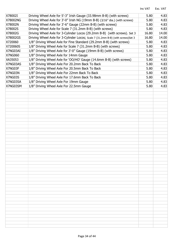| X78002I        | Driving Wheel Axle for 5'-3" Irish Gauge (33.98mm B-B) (with screws)             | 5.80  | 4.83  |
|----------------|----------------------------------------------------------------------------------|-------|-------|
| X78002NG       | Driving Wheel Axle for 3'-0" Irish NG (19mm B-B) (3/16" dia.) (with screws)      | 5.80  | 4.83  |
| X78002N        | Driving Wheel Axle for 3'-6" Gauge (22mm B-B) (with screws)                      | 5.80  | 4.83  |
| X78002S        | Driving Wheel Axle for Scale 7 (31.2mm B-B) (with screws)                        | 5.80  | 4.83  |
| X78002G        | Driving Wheel Axle for 3-Cylinder Locos (29.2mm B-B) (with screws). Set 3        | 16.80 | 14.00 |
| X78002GS       | Driving Wheel Axle for 3-Cylinder Locos; Scale 7 (31.2mm B-B) (with screws)Set 3 | 16.80 | 14.00 |
| X720060        | 1/8" Driving Wheel Axle for Fine Standard (29.2mm B-B) (with screws)             | 5.80  | 4.83  |
| X720060S       | 1/8" Driving Wheel Axle for Scale 7 (31.2mm B-B) (with screws)                   | 5.80  | 4.83  |
| X7NG03AI       | 1/8" Driving Wheel Axle for 3'-0" Gauge (19mm B-B) (with screws)                 | 5.80  | 4.83  |
| <b>X7NG060</b> | 1/8" Driving Wheel Axle for 14mm Gauge                                           | 5.80  | 4.83  |
| XA35053        | 1/8" Driving Wheel Axle for 'OO/HO' Gauge (14.6mm B-B) (with screws)             | 5.80  | 4.83  |
| X7NG03AS       | 1/8" Driving Wheel Axle For 20.2mm Back To Back                                  | 5.80  | 4.83  |
| X7NG03F        | 1/8" Driving Wheel Axle For 20.5mm Back To Back                                  | 5.80  | 4.83  |
| X7NG03N        | 1/8" Driving Wheel Axle For 22mm Back To Back                                    | 5.80  | 4.83  |
| X7NG03S        | 1/8" Driving Wheel Axle For 17.6mm Back To Back                                  | 5.80  | 4.83  |
| X7NG03SA       | 1/8" Driving Wheel Axle For 19mm Gauge                                           | 5.80  | 4.83  |
| X7NG03SM       | 1/8" Driving Wheel Axle For 22.5mm Gauge                                         | 5.80  | 4.83  |
|                |                                                                                  |       |       |
|                |                                                                                  |       |       |
|                |                                                                                  |       |       |
|                |                                                                                  |       |       |
|                |                                                                                  |       |       |
|                |                                                                                  |       |       |
|                |                                                                                  |       |       |
|                |                                                                                  |       |       |
|                |                                                                                  |       |       |
|                |                                                                                  |       |       |
|                |                                                                                  |       |       |
|                |                                                                                  |       |       |
|                |                                                                                  |       |       |
|                |                                                                                  |       |       |
|                |                                                                                  |       |       |
|                |                                                                                  |       |       |
|                |                                                                                  |       |       |
|                |                                                                                  |       |       |
|                |                                                                                  |       |       |
|                |                                                                                  |       |       |
|                |                                                                                  |       |       |
|                |                                                                                  |       |       |
|                |                                                                                  |       |       |
|                |                                                                                  |       |       |
|                |                                                                                  |       |       |
|                |                                                                                  |       |       |
|                |                                                                                  |       |       |
|                |                                                                                  |       |       |
|                |                                                                                  |       |       |
|                |                                                                                  |       |       |
|                |                                                                                  |       |       |
|                |                                                                                  |       |       |
|                |                                                                                  |       |       |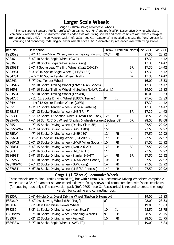#### Larger Scale Wheels

Gauge 1 (10mm scale) Locomotive Wheels

All wheels are to Standard Profile (prefix 'S') unless marked 'Fine' and prefixed 'F'. Locomotive Driving Wheelsets comprise 2 wheels and a ¼" diameter square-ended axle with fixing screws and come complete with 'short' crankpins (for coupling rods only). The conversion pack (Ref. 9805 - see G1 Accessories) is needed to create the 'long' version for coupling and connecting rods. Bogie/Tender wheels have a 3/16" diameter square-ended axle with fixing screws.

| Ref. No.        | Description                                                     | Throw            |           |           | Crankpin Notes Inc. VAT Exc. VAT |       |
|-----------------|-----------------------------------------------------------------|------------------|-----------|-----------|----------------------------------|-------|
| F9836Y8         | 3'-0" 9 Spoke Driving Wheel (LNER Class Y8)(Fine) (3/16 axle)   | $7\frac{1}{2}$ " | <b>PB</b> |           | 27.50                            | 22.92 |
| S9836           | 3'-0" 10 Spoke Bogie Wheel (GWR)                                |                  |           |           | 17.30                            | 14.42 |
| S9836K          | 3'-0" 10 Spoke Bogie Wheel (GWR King)                           |                  |           |           | 17.30                            | 14.42 |
| S9836ST         | 3'-0" 9 Spoke Lead/Trailing Wheel (Ivatt 2-6-2T)                |                  |           | <b>BR</b> | 17.30                            | 14.42 |
| S9839ST         | 3'-31/2" 10 Spoke Bogie Wheel (LMS/BR 8F)                       |                  |           | <b>BR</b> | 17.30                            | 14.42 |
| S9842ST         | 3'-61/2" 10 Spoke Tender Wheel (Ivatt)                          |                  |           | <b>BR</b> | 17.30                            | 14.42 |
| <b>BS9843</b>   | 3'-7" Disc Tender Wheel                                         |                  |           |           | 16.00                            | 13.33 |
| S9845AG         | 3'-9" 10 Spoke Trailing Wheel (LNWR Allan Goods)                |                  |           |           | 17.30                            | 14.42 |
| S9845H          | 3'-9" 10 Spoke Trailing Wheel 'H' Section (LNWR Coal tank)      |                  |           |           | 19.00                            | 15.83 |
| S9845ST         | 3'-9" 10 Spoke Trailing Wheel (LMS/BR)                          |                  |           |           | 16.00                            | 13.33 |
| <b>S9847LB</b>  | 3'-11" 12 Spoke Driving Wheel (LBSCR Terrier)                   | 9''              | IL        |           | 27.40                            | 22.83 |
| S9849           | 4'-11/2" 12 Spoke Tender Wheel (GWR)                            |                  |           |           | 17.30                            | 14.42 |
| S9851           | 4'-3" 12 Spoke Tender Wheel (General Pattern)                   |                  |           |           | 17.30                            | 14.42 |
| S9851ST         | 4'-3" 12 Spoke Tender Wheel (LMS/BR 4F)                         |                  |           | <b>BR</b> | 17.30                            | 14.42 |
| S9853H          | 4'-5" 12 Spoke 'H' Section Wheel (LNWR Coal Tank) 12"           |                  | <b>PB</b> |           | 28.50                            | 23.75 |
| S9854/08        | 4'-6" 14 Spk O/C Dr. Wheel (3 axles 6 wheels+cranks) (Class 08) |                  |           | <b>BR</b> | 98.50                            | 82.08 |
| S9855           | 4'-7" 15 Spoke Driving Wheel (Deeley Class 3F)                  | 12''             | IL        |           | 27.50                            | 22.92 |
| S9855GW42       | 4'-7" 14 Spoke Driving Wheel (GWR 4200)                         | 15''             | IL        |           | 27.50                            | 22.92 |
| S9855W          | 4'-7" 14 Spoke Driving Wheel (LNER J50)                         | 12''             | PB        |           | 27.50                            | 22.92 |
| S9856ST         | 4'-81/2" 15 Spoke Driving Wheel (LMS/BR 8F)                     | 14''             | PB        | <b>BR</b> | 27.50                            | 22.92 |
| <b>S9860AG</b>  | 5'-0" 15 Spoke Driving Wheel (LNWR 'Allan Goods')               | 10''             | PB        |           | 27.50                            | 22.92 |
| S9860ST         | 5'-0" 15 Spoke Driving Wheel (Ivatt 2-6-2T)                     | 12''             | PB        | <b>BR</b> | 27.50                            | 22.92 |
| S9863           | 5'-3" 16 Spoke Driving Wheel (LMS/BR 4F)                        | 11''             | IL        |           | 27.50                            | 22.92 |
| S9869ST         | 5'-9" 18 Spoke Driving Wheel (Stanier 2-6-4T)                   | 14''             | <b>PB</b> | <b>BR</b> | 27.50                            | 22.92 |
| <b>S9872AG</b>  | 6'-0" 18 Spoke Driving Wheel (LNWR Allan Goods)                 | 10''             | <b>PB</b> |           | 27.50                            | 22.92 |
| <b>S9878GWK</b> | 6'-6" 22 Spoke Driving Wheel (GWR King)                         | 14''             | PB        |           | 27.50                            | 22.92 |
| S9878ST         | 6'-6" 20 Spoke Driving Wheel (LMS/BR Princess)                  | 14''             | PB        | <b>BR</b> | 27.50                            | 22.92 |

#### Gauge 1 (1:32 scale) Locomotive Wheels

G1 1:32 Locuster These wheels are to Fine Profile (prefixed 'F'), but with 41mm B-B. Locomotive Driving Wheelsets comprise 2 wheels and a 3/16" diameter square-ended axle with fixing screws and come complete with 'short' crankpins (for coupling rods only). The conversion pack (Ref. 9805 - see G1 Accessories) is needed to create the 'long' version for coupling and connecting rods.

| <b>F8830R</b>  | 2'-6" 4-Hole Disc Diesel Driving Wheel (Ruston & Hornsby) |      |    | 19.00 | 15.83 |
|----------------|-----------------------------------------------------------|------|----|-------|-------|
| <b>F8836LY</b> | 3'-0" Disc Driving Wheel (L&Y "Pug")                      | 8''  |    | 28.00 | 23.33 |
| <b>BF8837</b>  | 3'-1" Plain Disc Diesel Power Wheel                       |      |    | 19.00 | 15.83 |
| F8838I         | 3'-2" 11 Spoke Driving Wheel (Kerr Stuart)                | 10'' | ΙL | 28.50 | 23.75 |
| F8838MW        | 3'-2" 10 Spoke Driving Wheel (Manning Wardle)             | Q''  | PB | 28.50 | 23.75 |
| <b>F8838P</b>  | 3'-2" 12 Spoke Driving Wheel (Peckett)                    | 10'' | PB | 28.50 | 23.75 |
| <b>F8843SW</b> | 3'-7" 10 Spoke Bogie Wheel (LSWR T9)                      |      |    | 19.00 | 15.83 |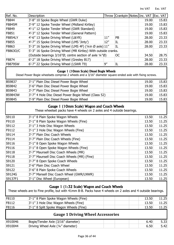| Ref. No.       | Description                                                    |      |           | Throw Crankpin Notes Inc. VAT Exc. VAT |       |
|----------------|----------------------------------------------------------------|------|-----------|----------------------------------------|-------|
| F8844          | 3'-8" 10 Spoke Bogie Wheel (GWR Duke)                          |      |           | 19.00                                  | 15.83 |
| F8845M         | 3'-9" 12 Spoke Tender Wheel (Midland Kirtley)                  |      |           | 19.00                                  | 15.83 |
| F8849          | 4'-1" 12 Spoke Tender Wheel (GWR Standard)                     |      |           | 19.00                                  | 15.83 |
| F8851          | 4'-3" 12 Spoke Tender Wheel (General Pattern)                  |      |           | 19.00                                  | 15.83 |
| <b>F8854LY</b> | 4'-6" 13 Spoke Driving Wheel (L&YR)                            | 11'' | <b>PB</b> | 28.00                                  | 23.33 |
| F8855          | 4'-7" 15 Spoke Driving Wheel (LMS 'Jinty')                     | 12'' | IL        | 28.00                                  | 23.33 |
| F8863          | 5'-3" 16 Spoke Driving Wheel (LMS 4F) (1/4in Ø axle) 11"       |      | IL        | 28.00                                  | 23.33 |
| F88630/C       | 5'-3" 16 Spoke Driving Wheel (MR Kirtley) With outside cranks. |      |           |                                        |       |
|                | (Outside bearings 3/16"Ø; centre section of axle 1/4"Ø)        |      | OC.       | 34.50                                  | 28.75 |
| F8874          | 6'-2" 18 Spoke Driving Wheel (Gresley B17)                     |      |           | 28.00                                  | 23.33 |
| <b>F8879SW</b> | 6'-7" 22 Spoke Driving Wheel (LSWR T9)                         | 9''  | IL        | 28.00                                  | 23.33 |

#### Gauge 1 (10mm Scale) Diesel Bogie Wheels

Diesel Power Bogie wheelsets comprise 2 wheels and a 3/16" diameter square-ended axle with fixing screws.

| <b>BS9837</b>  | 3'-1" Plain Disc Diesel Power Bogie Wheel             | 19.00 | 15.83 |
|----------------|-------------------------------------------------------|-------|-------|
| <b>BS9842</b>  | 3'-6" Plain Disc Diesel Power Bogie Wheel             | 19.00 | 15.83 |
| <b>BS9843</b>  | 3'-7" Plain Disc Diesel Power Bogie Wheel             | 19.00 | 15.83 |
| <b>BS9843W</b> | 3'-7" 4 Hole Disc Diesel Power Bogie Wheel (Class 52) | 19.00 | 15.83 |
| <b>BS9845</b>  | 3'-9" Plain Disc Diesel Power Bogie Wheel             | 19.00 | 15.83 |

#### Gauge 1 (10mm Scale) Wagon and Coach Wheels

These wheelset packs have 4 wheels on 2 axles and 4 outside bearings.

| S9110   | 3'-1" 8 Plain Spoke Wagon Wheels             |  | 13.50 | 11.25 |
|---------|----------------------------------------------|--|-------|-------|
| F9110   | 3'-1" 8 Plain Spoke Wagon Wheels (Fine)      |  | 13.50 | 11.25 |
| S9112   | 3'-1" 3 Hole Disc Wagon Wheels               |  | 13.50 | 11.25 |
| F9112   | 3'-1" 3 Hole Disc Wagon Wheels (Fine)        |  | 13.50 | 11.25 |
| S9114   | 3'-7" Plain Disc Coach Wheels                |  | 13.50 | 11.25 |
| F9114   | 3'-7" Plain Disc Coach Wheels (Fine)         |  | 13.50 | 11.25 |
| S9116   | 3'-1" 8 Open Spoke Wagon Wheels              |  | 13.50 | 11.25 |
| F9116   | 3'-1" 8 Open Spoke Wagon Wheels (Fine)       |  | 13.50 | 11.25 |
| S9118   | 3'-7" Maunsell Disc Coach Wheels (MR)        |  | 13.50 | 11.25 |
| F9118   | 3'-7" Maunsell Disc Coach Wheels (MR) (Fine) |  | 13.50 | 11.25 |
| S9120   | 3'-7" 8 Open Spoke Coach Wheels              |  | 13.50 | 11.25 |
| S9121   | 3'-6" Plain Disc Coach Wheel                 |  | 13.50 | 11.25 |
| S9122   | 3'-6" 8 Plain Spoke Coach Wheels             |  | 13.50 | 11.25 |
| S9124G  | 3'-7" Mansell Disc Coach Wheel (GWR/LNWR)    |  | 13.50 | 11.25 |
| S9137F1 | 3'-1" Disc Wheel (European)                  |  | 13.50 | 11.25 |

#### Gauge 1 (1:32 Scale) Wagon and Coach Wheels

These wheels are to Fine profile, but with 41mm B-B. Packs have 4 wheels on 2 axles and 4 outside bearings.

| F8110                                    | 3'-1" 8 Plain Spoke Wagon Wheels (Fine) |  | 13.50 | 11.25 |  |
|------------------------------------------|-----------------------------------------|--|-------|-------|--|
| F8112                                    | 3'-1" 3 Hole Disc Wagon Wheels (Fine)   |  | 13.50 | 11.25 |  |
| F8116                                    | 3'-1" 8 Split Spoke Wagon Wheels (Fine) |  | 13.50 | 11.25 |  |
| <b>Gauge 1 Driving Wheel Accessories</b> |                                         |  |       |       |  |
|                                          |                                         |  |       |       |  |
| X910046                                  | Bogie/Tender Axle (3/16" diameter)      |  | 6.40  | 5.33  |  |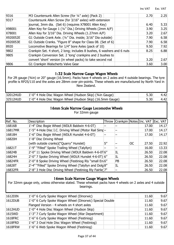| 9316     | M3 Countersunk Allen Screw (for 1/4" axle) (Pack 2)                    | 2.70 | 2.25 |
|----------|------------------------------------------------------------------------|------|------|
| 9317     | Countersunk Allen Screw (for 3/16" axles) with extension               |      |      |
|          | journal, 3mm dia. (Set 6) (requires X78001 Allen Key)                  | 6.40 | 5.33 |
| X98001   | Allen Key for Gauge 1 (1/4" Dia.) Driving Wheels (2mm A/F)             | 3.90 | 3.25 |
| X78001   | Allen Key for 3/16" Dia. Driving Wheels (1.27mm A/F)                   | 3.20 | 2.67 |
| X920052E | G1 Outside Crank Axle. (1/4" Dia. inside; 3/16" Dia outside)           | 7.90 | 6.58 |
| X920053E | G1 Outside Cranks. "Figure 8" shape for Class 08. (Set of 6)           | 7.90 | 6.58 |
| 8920     | Locomotive Bearings for 1/4" bore Axles (pack of 10)                   | 9.50 | 7.92 |
| 9802     | Crankpin Set. 4 short, 2 long; includes 8 bushes, 6 washers and 6 nuts | 8.25 | 6.88 |
| 9805     | Crankpin Conversion Set. 2 'long' crankpins and 2 bushes to            |      |      |
|          | convert 'short' version (in wheel packs) to take second rod            | 3.20 | 2.67 |
| 9806     | G1 Crankpin Walscherts Valve Gear                                      | 3.60 | 3.00 |
|          |                                                                        |      |      |

#### 1:32 Scale Narrow Gauge Wagon Wheels

For 2ft gauge (¾in) or 20" gauge (16.5mm). Packs have 4 wheels on 2 axles and 4 outside bearings. The tyre profile is RP25/110 and the axles are 28mm over pin-points. These wheels are manufactured by North Yard in New Zealand.

| 32012HUD | 1'-0" 4 Hole Disc Wagon Wheel (Hudson Skip) (34in Gauge)   | 5.30 | 4.42 |
|----------|------------------------------------------------------------|------|------|
| 32512HUD | 1'-0" 4 Hole Disc Wagon Wheel (Hudson Skip) (16.5mm Gauge) | 5.30 | 4.42 |

#### 16mm Scale Narrow Gauge Locomotive Wheels

For 32mm gauge

| Ref. No. | <b>Description</b>                                         | Throw |    |           | Crankpin Notes Inc. VAT | Exc. VAT |
|----------|------------------------------------------------------------|-------|----|-----------|-------------------------|----------|
| 16816B   | 1'-4" Disc Bogie Wheel (WDLR Baldwin 4-6-0T)               |       |    |           | 17.00                   | 14.17    |
| 16817MR  | 1'-5" 4-Hole Disc I.C. Driving Wheel (Motor Rail Simp-     |       |    |           | 17.00                   | 14.17    |
| 16818H   | 1'-6" Disc Bogie Wheel (WDLR Hunslet 4-6-0T)               |       |    |           | 17.00                   | 14.17    |
| 16820H   | 1'-8" Disc Driving Wheel                                   |       |    |           |                         |          |
|          | (with outside cranks)("Quarry" Hunslet)                    | 5''   |    | <b>OC</b> | 27.50                   | 22.92    |
| 16821T   | 1'-9" "Filled" Spoke Trailing Wheel (Talyllyn)             |       |    |           | 16.00                   | 13.33    |
| 16824B   | 2'-0" 11 Spoke Driving Wheel (WDLR Baldwin 4-6-0T 6"       |       | IL |           | 26.50                   | 22.08    |
| 16824H   | 2'-0" 7 Spoke Driving Wheel (WDLR Hunslet 4-6-0T) 6"       |       | IL |           | 26.50                   | 22.08    |
| 16824FR  | 2'-0" 8 Spoke Driving Wheel (Festiniog Rly "small En 6"    |       | PB |           | 26.50                   | 22.08    |
| 16828T   | 2'-4" "Filled" Spoke Driving Wheel (Talyllyn and Dolg 8"   |       | IL |           | 26.50                   | 22.08    |
| 16832FR  | 2'-8" 3 Hole Disc Driving Wheel (Festiniog Rly Fairlie) 7" |       |    |           | 26.50                   | 22.08    |

#### 16mm Scale Narrow Gauge Wagon Wheels

16mm C&W For 32mm gauge only, unless otherwise stated. These wheelset packs have 4 wheels on 2 axles and 4 outside bearings.

| 1612DIN | 1'-0" 6 Curly Spoke Wagon Wheel (Dinorwic)                | 11.60 | 9.67 |
|---------|-----------------------------------------------------------|-------|------|
| 1612DUB | 1'-0" 6 Curly Spoke Wagon Wheel (Dinorwic) Special Double | 11.60 | 9.67 |
|         | Flanged Version - 4 wheels on 4 short axles               | 11.60 | 9.67 |
| 1612HUD | 1'-0" 4 Hole Disc Wagon Wheel (Hudson Skip)               | 11.60 | 9.67 |
| 1615WD  | 1'-3" 7 Curly Spoke Wagon Wheel (War Department)          | 11.60 | 9.67 |
| 1618FRC | 1'-6" 6 Curly Spoke Wagon Wheel (Festiniog)               | 11.60 | 9.67 |
| 1618FRD | 1'-6" 3 Oval Hole Disc Wagon Wheel (Festiniog)            | 11.60 | 9.67 |
| 1618FRW | 1'-6" 6 Web Spoke Wagon Wheel (Festiniog)                 | 11.60 | 9.67 |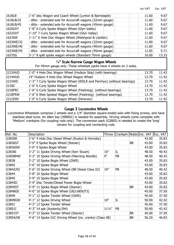| 1618LB    | 1'-6" disc Wagon and Coach Wheel (Lynton & Barnstaple)    | 11.60 | 9.67  |
|-----------|-----------------------------------------------------------|-------|-------|
| 1618LB/32 | - ditto - extended axle for Accucraft wagons (32mm gauge) | 11.60 | 9.67  |
| 1618LB/45 | - ditto - extended axle for Accucraft wagons (45mm gauge) | 11.60 | 9.67  |
| 1620GVT   | 1'-8" 6 Curly Spoke Wagon Wheel (Glyn Valley)             | 11.60 | 9.67  |
| 1622GVT   | 1'-10" 7 Curly Spoke Wagon Wheel (Glyn Valley)            | 11.60 | 9.67  |
| 1623WE    | 1'-11" 6 Hole Disc Wagon Wheel (Welshpool & Llanfair)     | 11.60 | 9.67  |
| 1623WE/32 | - ditto - extended axle for Accucraft wagons (32mm gauge) | 11.60 | 9.67  |
| 1623WE/40 | - ditto - extended axle for Accucraft wagons (40mm gauge) | 11.60 | 9.67  |
| 1623WE/45 | - ditto - extended axle for Accucraft wagons (45mm gauge) | 11.65 | 9.71  |
| 1637SG    | 3'-1" 8 split spoke wagon wheels (Standard 75mm gauge)    | 16.00 | 13.33 |

#### **⅞**" Scale Narrow Gauge Wagon Wheels

For 45mm gauge only. These wheelset packs have 4 wheels on 2 axles.

| 2212HUD        | 1'-0" 4 Hole Disc Wagon Wheel (Hudson Skip) (with bearings)           | 13.70 | 11.42 |
|----------------|-----------------------------------------------------------------------|-------|-------|
| 2214HUD        | 14" Hudson 4 Hole Disc Wheel Wagon Wheel                              | 13.70 | 11.42 |
| 2215WD         | 1'-3" 7 Curly Spoke Wagon Wheel (WDLR and Penrhyn) (without bearings) | 13.70 | 11.42 |
| 2218C          | 1'-6" 6 Curly Spoke Wagon Wheel                                       | 13.70 | 11.42 |
| <b>2218FRC</b> | 1'-6" 6 Curly Spoke Wagon Wheel (Festiniog) (without bearings)        | 13.70 | 11.42 |
| <b>2218FRW</b> | 1'-6" 6 Web Spoked Wagon Wheel (Festiniog) (without bearings)         | 13.70 | 11.42 |
| 2212DIN        | 1'-0" 6 Curly Spoke Wagon Wheel (Dinorwic)                            | 13.70 | 11.42 |

#### Gauge 3 Locomotive Wheels

Locomotive Wheelsets comprise 2 wheels and a 1/4" diameter square-ended axle with fixing screws, and have stainless steel tyres. An Allen key (X98001) is needed for assembly. Driving wheels come complete with 'Medium' crankpins (for coupling rods only). The conversion pack (G3805) is needed to create the 'long' version for coupling and connecting rods.

| Ref. No. | Description                                               |                 |           |           | Throw Crankpin Notes Inc. VAT Exc. VAT |       |
|----------|-----------------------------------------------------------|-----------------|-----------|-----------|----------------------------------------|-------|
| G3830R   | 2'-6" 4 Hole Disc Diesel Wheel (Ruston & Hornsby)         |                 |           |           | 43.00                                  | 35.83 |
| G3836ST  | 3'-0" 9 Spoke Bogie Wheel (Stanier)                       |                 |           | <b>BR</b> | 43.00                                  | 35.83 |
| G3836SW  | 3'-0" 9 Spoke Bogie Wheel                                 |                 |           |           | 43.00                                  | 35.83 |
| G3838I   | 3'-2" 11 Spoke Driving Wheel (Kerr Stuart)                | 10''            | IL        |           | 48.50                                  | 40.42 |
| G3838MW  | 3'-2" 10 Spoke Driving Wheel (Manning Wardle)             | 9"              | <b>PB</b> |           | 48.50                                  | 40.42 |
| G3838    | 3'-2" 10 Spoke Bogie Wheel (GWR)                          |                 |           |           | 43.00                                  | 35.83 |
| G3842    | 3'-6" 10 Spoke Bogie Wheel                                |                 |           |           | 43.00                                  | 35.83 |
| G3842/02 | 3'-6" 10 Spoke Driving Wheel (BR Diesel Class 02)         | 10''            | <b>PB</b> |           | 48.50                                  | 40.42 |
| G3844    | 3'-8" 10 Spoke Bogie Wheel                                |                 |           |           | 43.00                                  | 35.83 |
| G3845    | 3'-9" 10 Spoke Bogie Wheel                                |                 |           |           | 43.00                                  | 35.83 |
| G3845D   | 3'-9" Disc Tender/Diesel Power Bogie Wheel                |                 |           |           | 43.00                                  | 35.83 |
| G3845ST  | 3'-9" 11 Spoke Bogie Wheel (Stanier)                      |                 |           | <b>BR</b> | 43.00                                  | 35.83 |
| G3848GE  | 4'-0" 10 Spoke Bogie Wheel (GE/LNER/F3)                   |                 |           |           | 45.00                                  | 37.50 |
| G3849    | 4'-1" 12 Spoke Tender Wheel (GWR)                         |                 |           |           | 45.00                                  | 37.50 |
| G3849GW  | 4'-1" 12 Spoke Driving Wheel                              | 10''            | IL        |           | 50.90                                  | 42.42 |
| G3851    | 4'-3" 12 Spoke Tender Wheel                               |                 |           |           | 45.00                                  | 37.50 |
| G3851I   | 4'-3" 14 spk (Austerity/J94)                              | $11\frac{1}{2}$ | PB        |           | 50.90                                  | 42.42 |
| G3851ST  | 4'-3" 12 Spoke Tender Wheel (Stanier)                     |                 |           | <b>BR</b> | 45.00                                  | 37.50 |
| G3854/08 | 4'-6" 14 Spoke O/C Driving Wheel (inc. cranks) (Class 08) |                 |           | <b>BR</b> | 56.20                                  | 46.83 |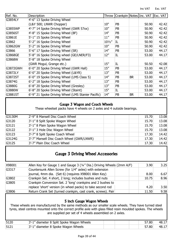| Ref. No. | Description                                        | Throw           |           |           | Crankpin Notes Inc. VAT Exc. VAT |       |
|----------|----------------------------------------------------|-----------------|-----------|-----------|----------------------------------|-------|
| G3854LY  | 4'-6" 13 Spoke Driving Wheel                       |                 |           |           |                                  |       |
|          | (L&Y 500; LNWR Chopper)                            | 10"             | PB        |           | 50.90                            | 42.42 |
| G3855WP  | 4'-7" 14 Spoke Driving Wheel (GWR 57xx)            | 10''            | <b>PB</b> |           | 50.90                            | 42.42 |
| G3856ST  | 4'-8" 15 Spoke Driving Wheel (8F)                  | 14"             | <b>PB</b> |           | 50.90                            | 42.42 |
| G3861E   | 5'-1" 15 Spoke Driving Wheel                       | 11''            | PB        |           | 50.90                            | 42.42 |
| G3862    | 5'-2" 16 Spoke Driving Wheel                       | $10\frac{1}{2}$ | IL        |           | 50.90                            | 42.42 |
| G3862GW  | 5'-2" 16 Spoke Driving Wheel                       | 10''            | <b>PB</b> |           | 50.90                            | 42.42 |
| G3866    | 5'-6" 17 Spoke Driving Wheel (SR)                  | 14''            | PB        |           | 53.00                            | 44.17 |
| G3868GE  | 5'-8" 16 Spoke Driving wheel (GE/LNER/F3)          | 12''            | IL        |           | 53.00                            | 44.17 |
| G3868W   | 5'-8" 18 Spoke Driving Wheel                       |                 |           |           |                                  |       |
|          | (GWR Mogul, Grange etc.)                           | 15''            | IL        |           | 50.50                            | 42.08 |
| G3872GWH | 6'-0" 20 Spoke Driving Wheel (GWR Hall)            | 15''            | <b>PB</b> |           | 53.00                            | 44.17 |
| G3872LY  | 6'-0" 20 Spoke Driving Wheel (L&YR)                | 13''            | PB        |           | 53.00                            | 44.17 |
| G3872ST  | 6'-0" 19 Spoke Driving Wheel (LMS Class 5)         | 14''            | PB        | <b>BR</b> | 53.00                            | 44.17 |
| G3874G   | 6'-2" 18 Spoke Driving Wheel                       | 13''            | PB        |           | 53.00                            | 44.17 |
| G3880G   | 6'-8" 20 Spoke Driving Wheel (Gresley)             | 13''            | PB        |           | 53.00                            | 44.17 |
| G3880W   | 6'-8" 20 Spoke Driving Wheel (Staint)              | 15"             | IL        |           | 53.00                            | 44.17 |
| G3881ST  | 6'-9" 21 Spoke Driving Wheel (LMS Stanier Pacific) | 14''            | PB        | <b>BR</b> | 53.00                            | 44.17 |

#### Gauge 3 Wagon and Coach Wheels

These wheelset packs have 4 wheels on 2 axles and 4 outside bearings.

| G3130M | 2'-9" 8 Mansell Disc Coach Wheel          | 15.70 | 13.08 |
|--------|-------------------------------------------|-------|-------|
| G3120  | 3'-1" 8 Split Spoke Wagon Wheel           | 15.70 | 13.08 |
| G3121  | 3'-1" 8 Plain Spoke Wagon Wheel           | 15.70 | 13.08 |
| G3122  | 3'-1" 3 Hole Disc Wagon Wheel             | 15.70 | 13.08 |
| G3123  | 3'-7" 8 Split Spoke Coach Wheel           | 17.30 | 14.42 |
| G3124G | 3'-7" Mansell Disc Coach Wheel (GWR/LNWR) | 17.30 | 14.42 |
| G3125  | 3'-7" Plain Disc Coach Wheel              | 17.30 | 14.42 |

#### Gauge 3 Driving Wheel Accessories

| X98001 | Allen Key for Gauge 1 and Gauge 3 (1/4" Dia.) Driving Wheels (2mm A/F) | 3.90  | 3.25 |
|--------|------------------------------------------------------------------------|-------|------|
| G3317  | Countersunk Allen Screw (for 1/4" axles) with extension                |       |      |
|        | journal, 4mm dia. (Set 6) (requires X98001 Allen Key)                  | 8.00  | 6.67 |
| G3802  | Crankpin Set. 4 short, 2 long; includes bushes and nuts                | 10.75 | 8.96 |
| G3805  | Crankpin Conversion Set. 2 'long' crankpins and 2 bushes to            |       |      |
|        | replace 'short' version (in wheel packs) to take second rod            | 4.20  | 3.50 |
| G3806  | Return Crank Set (turned crankpin, cast crank, screws). Pair           | 11.50 | 9.58 |

#### 5 inch Gauge Wagon Wheels

These wheels are manufactured by the same methods as our smaller scale wheels. They have turned steel tyres, steel centres mounted onto the correct profile axle with glass filled resin moulded spokes. The wheels are supplied per set of 4 wheels assembled on 2 axles.

| 5120 | 3'-1" diameter 8 Split Spoke Wagon Wheels | 57.80 | 48.17 |
|------|-------------------------------------------|-------|-------|
| 5121 | $3'$ -1" diameter 8 Spoke Wagon Wheels    | 57.80 | 48.17 |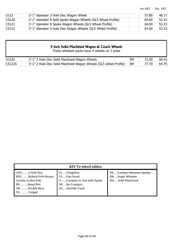| 5122  | 3'-1" diameter 3 Hole Disc Wagon Wheel                        |  | 57.80 | 48.17 |
|-------|---------------------------------------------------------------|--|-------|-------|
| C5120 | 3'-1" diameter 8 Split Spoke Wagon Wheels (GL5 Wheel Profile) |  | 64.00 | 53.33 |
| C5121 | 3'-1" diameter 8 Spoke Wagon Wheels (GL5 Wheel Profile)       |  | 64.00 | 53.33 |
| C5122 | 3'-1" diameter 3 Hole Disc Wagon Wheels (GL5 Wheel Profile)   |  | 64.00 | 53.33 |

#### 5 inch Solid Machined Wagon & Coach Wheels

These wheelset packs have 4 wheels on 2 axles

| <b>5122S</b> | 3'-1" 3 Hole Disc Solid Machined Wagon Wheels                        | <b>SM</b> | 72.50 | 60.42 |
|--------------|----------------------------------------------------------------------|-----------|-------|-------|
| C5122S       | 3'-1" 3 Hole Disc Solid Machined Wagon Wheels (GL5 wheel Profile) SM |           | 77.70 | 64.75 |

| <b>KEY To wheel tables</b>                                                                                    |                                                                                                   |                                                                   |  |  |  |
|---------------------------------------------------------------------------------------------------------------|---------------------------------------------------------------------------------------------------|-------------------------------------------------------------------|--|--|--|
| 2HD2 Hole Disc<br>BFB Bulleid-Firth-Brown<br>(similar to Box Pok)<br>BRBevel Rim<br>DBDouble Boss<br>FGForged | FLFlangeless<br>FFFlat Faced<br>ILCrankpin In Line with Spoke<br>NCNo Crankpin<br>OCOutside Crank | PBCrankpin Between Spokes<br>SWSingle Wheeler<br>SMSolid Machined |  |  |  |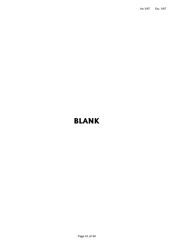## **BLANK**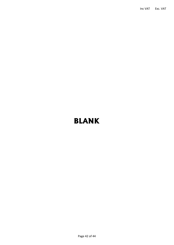## **BLANK**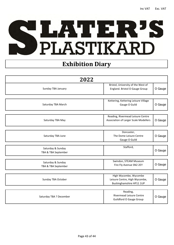

### **Exhibition Diary**

| 2022                                     |                                                                                    |         |  |  |  |  |  |
|------------------------------------------|------------------------------------------------------------------------------------|---------|--|--|--|--|--|
| Sunday TBA January                       | Bristol, University of the West of<br>England. Bristol O Gauge Group               | O Gauge |  |  |  |  |  |
| Saturday TBA March                       | Kettering, Kettering Leisure Village<br>Gauge O Guild                              | O Gauge |  |  |  |  |  |
| Saturday TBA May                         | Reading, Rivermead Leisure Centre<br>Association of Larger Scale Modellers         | O Gauge |  |  |  |  |  |
| Saturday TBA June                        | Doncaster,<br>The Dome Leisure Centre<br>Gauge O Guild                             | O Gauge |  |  |  |  |  |
| Saturday & Sunday<br>TBA & TBA September | Stafford,                                                                          | O Gauge |  |  |  |  |  |
| Saturday & Sunday<br>TBA & TBA September | Swindon, STEAM Museum<br>Fire Fly Avenue SN2 2EY                                   | O Gauge |  |  |  |  |  |
| Sunday TBA October                       | High Wycombe, Wycombe<br>Leisure Centre, High Wycombe,<br>Buckinghamshire HP11 1UP | O Gauge |  |  |  |  |  |
| Saturday TBA ? December                  | Reading,<br><b>Rivermead Leisure Centre</b><br><b>Guildford O Gauge Group</b>      | O Gauge |  |  |  |  |  |